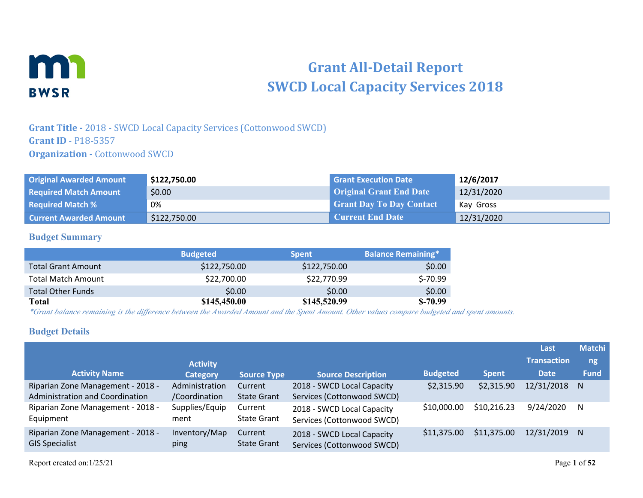

# **Grant All-Detail Report SWCD Local Capacity Services 2018**

## **Grant Title -** 2018 - SWCD Local Capacity Services (Cottonwood SWCD) **Grant ID** - P18-5357 **Organization - Cottonwood SWCD**

| <b>Original Awarded Amount</b> | \$122,750.00 | <b>Grant Execution Date</b>     | 12/6/2017  |
|--------------------------------|--------------|---------------------------------|------------|
| <b>Required Match Amount</b>   | \$0.00       | <b>Original Grant End Date</b>  | 12/31/2020 |
| <b>Required Match %</b>        | 0%           | <b>Grant Day To Day Contact</b> | Kay Gross  |
| <b>Current Awarded Amount</b>  | \$122,750.00 | <b>Current End Date</b>         | 12/31/2020 |

#### **Budget Summary**

|                           | <b>Budgeted</b> | <b>Spent</b> | <b>Balance Remaining*</b> |
|---------------------------|-----------------|--------------|---------------------------|
| <b>Total Grant Amount</b> | \$122,750.00    | \$122,750.00 | \$0.00                    |
| <b>Total Match Amount</b> | \$22,700.00     | \$22,770.99  | $S-70.99$                 |
| <b>Total Other Funds</b>  | \$0.00          | \$0.00       | \$0.00                    |
| Total                     | \$145,450.00    | \$145,520.99 | $S-70.99$                 |

*\*Grant balance remaining is the difference between the Awarded Amount and the Spent Amount. Other values compare budgeted and spent amounts.*

#### **Budget Details**

|                                                                      |                                 |                               |                                                          |                 |              | Last               | <b>Matchi</b> |
|----------------------------------------------------------------------|---------------------------------|-------------------------------|----------------------------------------------------------|-----------------|--------------|--------------------|---------------|
|                                                                      | <b>Activity</b>                 |                               |                                                          |                 |              | <b>Transaction</b> | ng            |
| <b>Activity Name</b>                                                 | <b>Category</b>                 | <b>Source Type</b>            | <b>Source Description</b>                                | <b>Budgeted</b> | <b>Spent</b> | <b>Date</b>        | <b>Fund</b>   |
| Riparian Zone Management - 2018 -<br>Administration and Coordination | Administration<br>/Coordination | Current<br><b>State Grant</b> | 2018 - SWCD Local Capacity<br>Services (Cottonwood SWCD) | \$2,315.90      | \$2,315.90   | 12/31/2018 N       |               |
| Riparian Zone Management - 2018 -<br>Equipment                       | Supplies/Equip<br>ment          | Current<br>State Grant        | 2018 - SWCD Local Capacity<br>Services (Cottonwood SWCD) | \$10,000.00     | \$10,216.23  | 9/24/2020          | - N           |
| Riparian Zone Management - 2018 -<br><b>GIS Specialist</b>           | Inventory/Map<br>ping           | Current<br>State Grant        | 2018 - SWCD Local Capacity<br>Services (Cottonwood SWCD) | \$11,375.00     | \$11,375.00  | 12/31/2019 N       |               |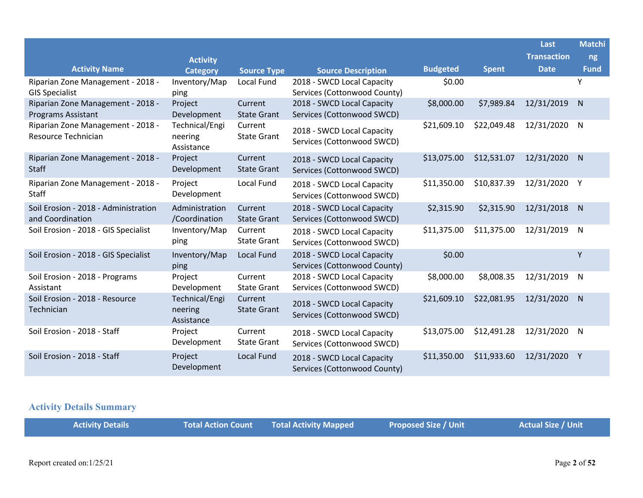|                                                                |                                         |                               |                                                            |                 |              | Last               | <b>Matchi</b> |
|----------------------------------------------------------------|-----------------------------------------|-------------------------------|------------------------------------------------------------|-----------------|--------------|--------------------|---------------|
|                                                                | <b>Activity</b>                         |                               |                                                            |                 |              | <b>Transaction</b> | ng            |
| <b>Activity Name</b>                                           | <b>Category</b>                         | <b>Source Type</b>            | <b>Source Description</b>                                  | <b>Budgeted</b> | <b>Spent</b> | <b>Date</b>        | <b>Fund</b>   |
| Riparian Zone Management - 2018 -<br><b>GIS Specialist</b>     | Inventory/Map<br>ping                   | Local Fund                    | 2018 - SWCD Local Capacity<br>Services (Cottonwood County) | \$0.00          |              |                    | Y             |
| Riparian Zone Management - 2018 -<br><b>Programs Assistant</b> | Project<br>Development                  | Current<br><b>State Grant</b> | 2018 - SWCD Local Capacity<br>Services (Cottonwood SWCD)   | \$8,000.00      | \$7,989.84   | 12/31/2019         | N             |
| Riparian Zone Management - 2018 -<br>Resource Technician       | Technical/Engi<br>neering<br>Assistance | Current<br><b>State Grant</b> | 2018 - SWCD Local Capacity<br>Services (Cottonwood SWCD)   | \$21,609.10     | \$22,049.48  | 12/31/2020         | N             |
| Riparian Zone Management - 2018 -<br><b>Staff</b>              | Project<br>Development                  | Current<br><b>State Grant</b> | 2018 - SWCD Local Capacity<br>Services (Cottonwood SWCD)   | \$13,075.00     | \$12,531.07  | 12/31/2020         | $\mathsf{N}$  |
| Riparian Zone Management - 2018 -<br>Staff                     | Project<br>Development                  | Local Fund                    | 2018 - SWCD Local Capacity<br>Services (Cottonwood SWCD)   | \$11,350.00     | \$10,837.39  | 12/31/2020         | Υ             |
| Soil Erosion - 2018 - Administration<br>and Coordination       | Administration<br>/Coordination         | Current<br><b>State Grant</b> | 2018 - SWCD Local Capacity<br>Services (Cottonwood SWCD)   | \$2,315.90      | \$2,315.90   | 12/31/2018         | $\mathsf{N}$  |
| Soil Erosion - 2018 - GIS Specialist                           | Inventory/Map<br>ping                   | Current<br><b>State Grant</b> | 2018 - SWCD Local Capacity<br>Services (Cottonwood SWCD)   | \$11,375.00     | \$11,375.00  | 12/31/2019         | N             |
| Soil Erosion - 2018 - GIS Specialist                           | Inventory/Map<br>ping                   | Local Fund                    | 2018 - SWCD Local Capacity<br>Services (Cottonwood County) | \$0.00          |              |                    | Υ             |
| Soil Erosion - 2018 - Programs<br>Assistant                    | Project<br>Development                  | Current<br><b>State Grant</b> | 2018 - SWCD Local Capacity<br>Services (Cottonwood SWCD)   | \$8,000.00      | \$8,008.35   | 12/31/2019         | ${\sf N}$     |
| Soil Erosion - 2018 - Resource<br>Technician                   | Technical/Engi<br>neering<br>Assistance | Current<br><b>State Grant</b> | 2018 - SWCD Local Capacity<br>Services (Cottonwood SWCD)   | \$21,609.10     | \$22,081.95  | 12/31/2020         | N             |
| Soil Erosion - 2018 - Staff                                    | Project<br>Development                  | Current<br><b>State Grant</b> | 2018 - SWCD Local Capacity<br>Services (Cottonwood SWCD)   | \$13,075.00     | \$12,491.28  | 12/31/2020         | $\mathsf{N}$  |
| Soil Erosion - 2018 - Staff                                    | Project<br>Development                  | Local Fund                    | 2018 - SWCD Local Capacity<br>Services (Cottonwood County) | \$11,350.00     | \$11,933.60  | 12/31/2020         | Y             |

# **Activity Details Summary**

|  | <b>Activity Details</b> |  | <b>Total Action Count Total Activity Mapped</b> | <b>Proposed Size / Unit</b> | <b>Actual Size / Unit</b> |
|--|-------------------------|--|-------------------------------------------------|-----------------------------|---------------------------|
|--|-------------------------|--|-------------------------------------------------|-----------------------------|---------------------------|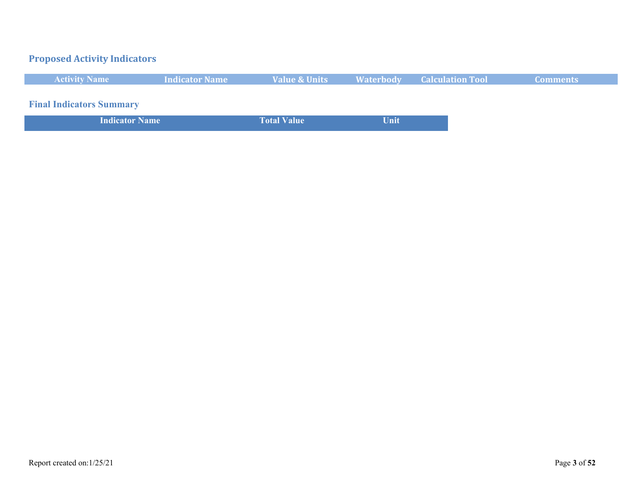# **Proposed Activity Indicators**

| <b>Activity Name</b> | <b>Indicator Name</b> | <b>Value &amp; Units</b> | <b>Waterbody Calculation Tool</b> | \Comments\ |
|----------------------|-----------------------|--------------------------|-----------------------------------|------------|
|                      |                       |                          |                                   |            |

**Final Indicators Summary**

| <b>Indicator Name</b> | <b>Total Value</b> | Unit |
|-----------------------|--------------------|------|
|                       |                    |      |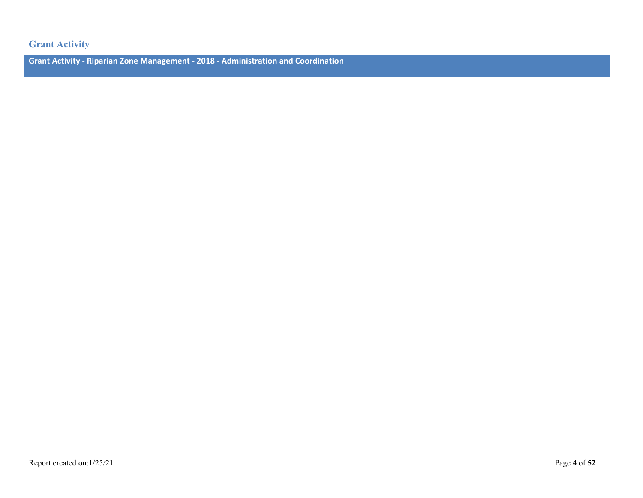#### **Grant Activity**

**Grant Activity - Riparian Zone Management - 2018 - Administration and Coordination**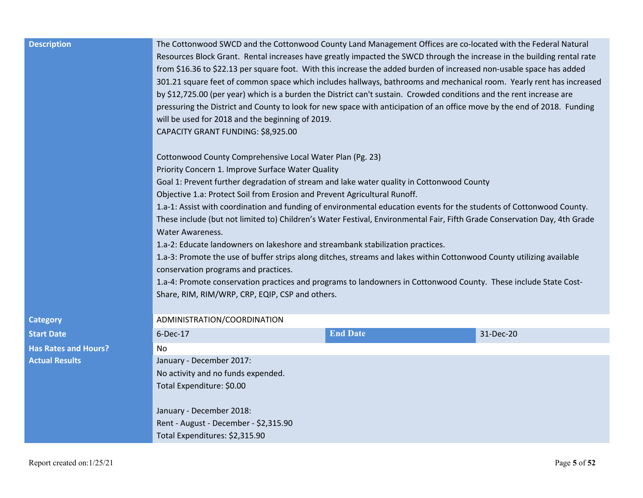| <b>Description</b>          | The Cottonwood SWCD and the Cottonwood County Land Management Offices are co-located with the Federal Natural<br>Resources Block Grant. Rental increases have greatly impacted the SWCD through the increase in the building rental rate<br>from \$16.36 to \$22.13 per square foot. With this increase the added burden of increased non-usable space has added<br>301.21 square feet of common space which includes hallways, bathrooms and mechanical room. Yearly rent has increased<br>by \$12,725.00 (per year) which is a burden the District can't sustain. Crowded conditions and the rent increase are<br>pressuring the District and County to look for new space with anticipation of an office move by the end of 2018. Funding<br>will be used for 2018 and the beginning of 2019.<br>CAPACITY GRANT FUNDING: \$8,925.00<br>Cottonwood County Comprehensive Local Water Plan (Pg. 23)<br>Priority Concern 1. Improve Surface Water Quality<br>Goal 1: Prevent further degradation of stream and lake water quality in Cottonwood County<br>Objective 1.a: Protect Soil from Erosion and Prevent Agricultural Runoff.<br>1.a-1: Assist with coordination and funding of environmental education events for the students of Cottonwood County.<br>These include (but not limited to) Children's Water Festival, Environmental Fair, Fifth Grade Conservation Day, 4th Grade<br><b>Water Awareness.</b><br>1.a-2: Educate landowners on lakeshore and streambank stabilization practices.<br>1.a-3: Promote the use of buffer strips along ditches, streams and lakes within Cottonwood County utilizing available<br>conservation programs and practices.<br>1.a-4: Promote conservation practices and programs to landowners in Cottonwood County. These include State Cost-<br>Share, RIM, RIM/WRP, CRP, EQIP, CSP and others. |                 |           |
|-----------------------------|----------------------------------------------------------------------------------------------------------------------------------------------------------------------------------------------------------------------------------------------------------------------------------------------------------------------------------------------------------------------------------------------------------------------------------------------------------------------------------------------------------------------------------------------------------------------------------------------------------------------------------------------------------------------------------------------------------------------------------------------------------------------------------------------------------------------------------------------------------------------------------------------------------------------------------------------------------------------------------------------------------------------------------------------------------------------------------------------------------------------------------------------------------------------------------------------------------------------------------------------------------------------------------------------------------------------------------------------------------------------------------------------------------------------------------------------------------------------------------------------------------------------------------------------------------------------------------------------------------------------------------------------------------------------------------------------------------------------------------------------------------------------------------------------------------------------------------------------|-----------------|-----------|
| <b>Category</b>             | ADMINISTRATION/COORDINATION                                                                                                                                                                                                                                                                                                                                                                                                                                                                                                                                                                                                                                                                                                                                                                                                                                                                                                                                                                                                                                                                                                                                                                                                                                                                                                                                                                                                                                                                                                                                                                                                                                                                                                                                                                                                                  |                 |           |
| <b>Start Date</b>           | $6$ -Dec-17                                                                                                                                                                                                                                                                                                                                                                                                                                                                                                                                                                                                                                                                                                                                                                                                                                                                                                                                                                                                                                                                                                                                                                                                                                                                                                                                                                                                                                                                                                                                                                                                                                                                                                                                                                                                                                  | <b>End Date</b> | 31-Dec-20 |
| <b>Has Rates and Hours?</b> | <b>No</b>                                                                                                                                                                                                                                                                                                                                                                                                                                                                                                                                                                                                                                                                                                                                                                                                                                                                                                                                                                                                                                                                                                                                                                                                                                                                                                                                                                                                                                                                                                                                                                                                                                                                                                                                                                                                                                    |                 |           |
| <b>Actual Results</b>       | January - December 2017:                                                                                                                                                                                                                                                                                                                                                                                                                                                                                                                                                                                                                                                                                                                                                                                                                                                                                                                                                                                                                                                                                                                                                                                                                                                                                                                                                                                                                                                                                                                                                                                                                                                                                                                                                                                                                     |                 |           |
|                             | No activity and no funds expended.                                                                                                                                                                                                                                                                                                                                                                                                                                                                                                                                                                                                                                                                                                                                                                                                                                                                                                                                                                                                                                                                                                                                                                                                                                                                                                                                                                                                                                                                                                                                                                                                                                                                                                                                                                                                           |                 |           |
|                             | Total Expenditure: \$0.00                                                                                                                                                                                                                                                                                                                                                                                                                                                                                                                                                                                                                                                                                                                                                                                                                                                                                                                                                                                                                                                                                                                                                                                                                                                                                                                                                                                                                                                                                                                                                                                                                                                                                                                                                                                                                    |                 |           |
|                             | January - December 2018:                                                                                                                                                                                                                                                                                                                                                                                                                                                                                                                                                                                                                                                                                                                                                                                                                                                                                                                                                                                                                                                                                                                                                                                                                                                                                                                                                                                                                                                                                                                                                                                                                                                                                                                                                                                                                     |                 |           |
|                             | Rent - August - December - \$2,315.90                                                                                                                                                                                                                                                                                                                                                                                                                                                                                                                                                                                                                                                                                                                                                                                                                                                                                                                                                                                                                                                                                                                                                                                                                                                                                                                                                                                                                                                                                                                                                                                                                                                                                                                                                                                                        |                 |           |
|                             | Total Expenditures: \$2,315.90                                                                                                                                                                                                                                                                                                                                                                                                                                                                                                                                                                                                                                                                                                                                                                                                                                                                                                                                                                                                                                                                                                                                                                                                                                                                                                                                                                                                                                                                                                                                                                                                                                                                                                                                                                                                               |                 |           |
|                             |                                                                                                                                                                                                                                                                                                                                                                                                                                                                                                                                                                                                                                                                                                                                                                                                                                                                                                                                                                                                                                                                                                                                                                                                                                                                                                                                                                                                                                                                                                                                                                                                                                                                                                                                                                                                                                              |                 |           |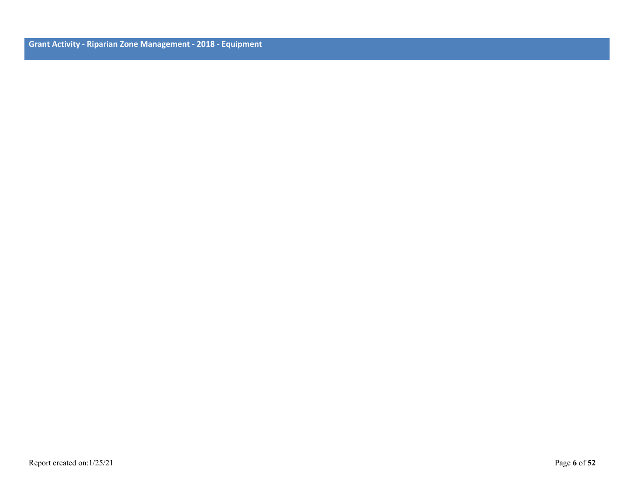**Grant Activity - Riparian Zone Management - 2018 - Equipment**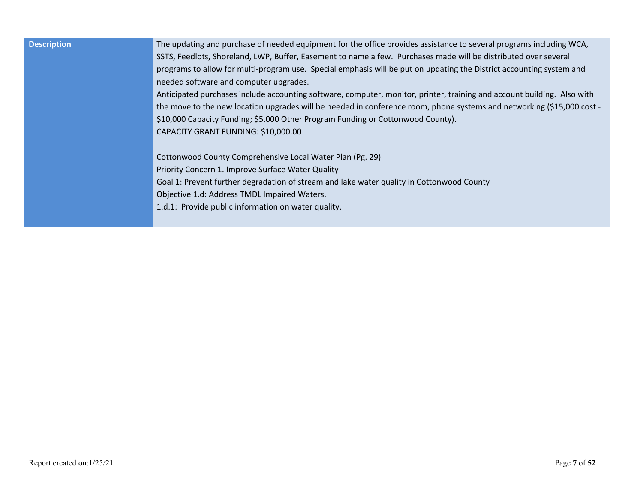| <b>Description</b> | The updating and purchase of needed equipment for the office provides assistance to several programs including WCA,     |
|--------------------|-------------------------------------------------------------------------------------------------------------------------|
|                    | SSTS, Feedlots, Shoreland, LWP, Buffer, Easement to name a few. Purchases made will be distributed over several         |
|                    | programs to allow for multi-program use. Special emphasis will be put on updating the District accounting system and    |
|                    | needed software and computer upgrades.                                                                                  |
|                    | Anticipated purchases include accounting software, computer, monitor, printer, training and account building. Also with |
|                    | the move to the new location upgrades will be needed in conference room, phone systems and networking (\$15,000 cost -  |
|                    | \$10,000 Capacity Funding; \$5,000 Other Program Funding or Cottonwood County).                                         |
|                    | CAPACITY GRANT FUNDING: \$10,000.00                                                                                     |
|                    |                                                                                                                         |
|                    | Cottonwood County Comprehensive Local Water Plan (Pg. 29)                                                               |
|                    | Priority Concern 1. Improve Surface Water Quality                                                                       |
|                    | Goal 1: Prevent further degradation of stream and lake water quality in Cottonwood County                               |
|                    | Objective 1.d: Address TMDL Impaired Waters.                                                                            |
|                    | 1.d.1: Provide public information on water quality.                                                                     |
|                    |                                                                                                                         |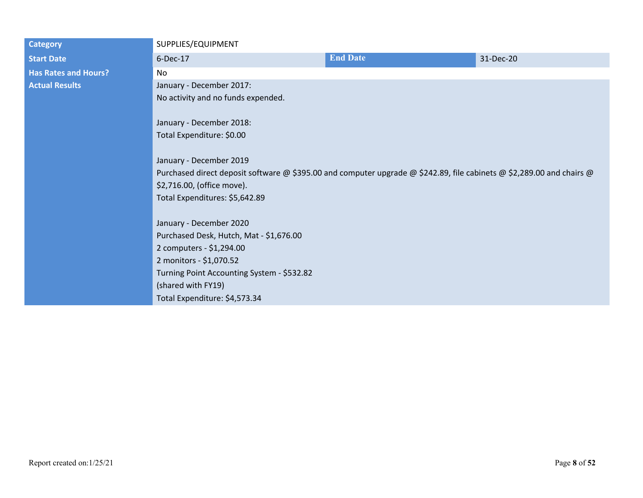| <b>End Date</b><br>6-Dec-17<br>31-Dec-20<br><b>Start Date</b><br><b>Has Rates and Hours?</b><br>N <sub>o</sub><br><b>Actual Results</b><br>January - December 2017:<br>No activity and no funds expended.<br>January - December 2018:<br>Total Expenditure: \$0.00<br>January - December 2019<br>Purchased direct deposit software @ \$395.00 and computer upgrade @ \$242.89, file cabinets @ \$2,289.00 and chairs @<br>\$2,716.00, (office move).<br>Total Expenditures: \$5,642.89<br>January - December 2020<br>Purchased Desk, Hutch, Mat - \$1,676.00<br>2 computers - \$1,294.00<br>2 monitors - \$1,070.52<br>Turning Point Accounting System - \$532.82<br>(shared with FY19) | <b>Category</b> | SUPPLIES/EQUIPMENT |  |
|-----------------------------------------------------------------------------------------------------------------------------------------------------------------------------------------------------------------------------------------------------------------------------------------------------------------------------------------------------------------------------------------------------------------------------------------------------------------------------------------------------------------------------------------------------------------------------------------------------------------------------------------------------------------------------------------|-----------------|--------------------|--|
|                                                                                                                                                                                                                                                                                                                                                                                                                                                                                                                                                                                                                                                                                         |                 |                    |  |
|                                                                                                                                                                                                                                                                                                                                                                                                                                                                                                                                                                                                                                                                                         |                 |                    |  |
|                                                                                                                                                                                                                                                                                                                                                                                                                                                                                                                                                                                                                                                                                         |                 |                    |  |
|                                                                                                                                                                                                                                                                                                                                                                                                                                                                                                                                                                                                                                                                                         |                 |                    |  |
|                                                                                                                                                                                                                                                                                                                                                                                                                                                                                                                                                                                                                                                                                         |                 |                    |  |
|                                                                                                                                                                                                                                                                                                                                                                                                                                                                                                                                                                                                                                                                                         |                 |                    |  |
|                                                                                                                                                                                                                                                                                                                                                                                                                                                                                                                                                                                                                                                                                         |                 |                    |  |
|                                                                                                                                                                                                                                                                                                                                                                                                                                                                                                                                                                                                                                                                                         |                 |                    |  |
|                                                                                                                                                                                                                                                                                                                                                                                                                                                                                                                                                                                                                                                                                         |                 |                    |  |
|                                                                                                                                                                                                                                                                                                                                                                                                                                                                                                                                                                                                                                                                                         |                 |                    |  |
|                                                                                                                                                                                                                                                                                                                                                                                                                                                                                                                                                                                                                                                                                         |                 |                    |  |
|                                                                                                                                                                                                                                                                                                                                                                                                                                                                                                                                                                                                                                                                                         |                 |                    |  |
|                                                                                                                                                                                                                                                                                                                                                                                                                                                                                                                                                                                                                                                                                         |                 |                    |  |
|                                                                                                                                                                                                                                                                                                                                                                                                                                                                                                                                                                                                                                                                                         |                 |                    |  |
|                                                                                                                                                                                                                                                                                                                                                                                                                                                                                                                                                                                                                                                                                         |                 |                    |  |
|                                                                                                                                                                                                                                                                                                                                                                                                                                                                                                                                                                                                                                                                                         |                 |                    |  |
|                                                                                                                                                                                                                                                                                                                                                                                                                                                                                                                                                                                                                                                                                         |                 |                    |  |
|                                                                                                                                                                                                                                                                                                                                                                                                                                                                                                                                                                                                                                                                                         |                 |                    |  |
|                                                                                                                                                                                                                                                                                                                                                                                                                                                                                                                                                                                                                                                                                         |                 |                    |  |
| Total Expenditure: \$4,573.34                                                                                                                                                                                                                                                                                                                                                                                                                                                                                                                                                                                                                                                           |                 |                    |  |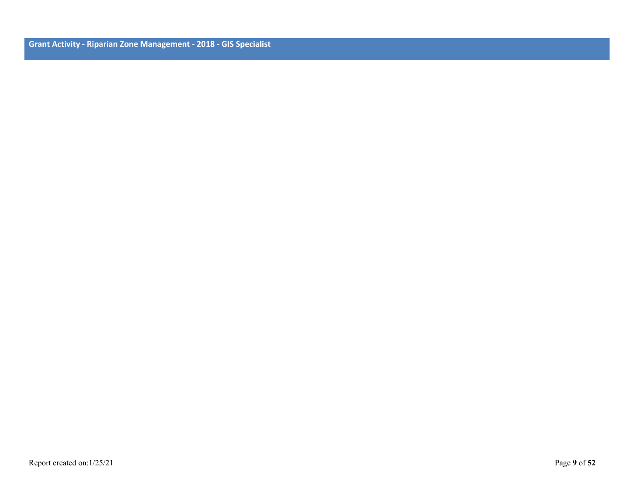**Grant Activity - Riparian Zone Management - 2018 - GIS Specialist**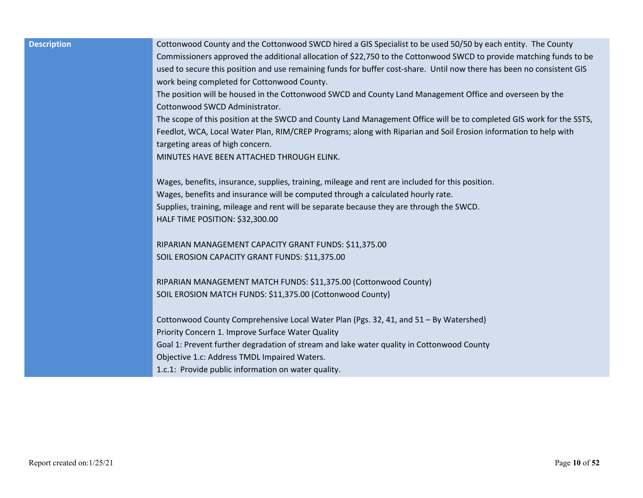| <b>Description</b> | Cottonwood County and the Cottonwood SWCD hired a GIS Specialist to be used 50/50 by each entity. The County           |
|--------------------|------------------------------------------------------------------------------------------------------------------------|
|                    | Commissioners approved the additional allocation of \$22,750 to the Cottonwood SWCD to provide matching funds to be    |
|                    | used to secure this position and use remaining funds for buffer cost-share. Until now there has been no consistent GIS |
|                    | work being completed for Cottonwood County.                                                                            |
|                    | The position will be housed in the Cottonwood SWCD and County Land Management Office and overseen by the               |
|                    | Cottonwood SWCD Administrator.                                                                                         |
|                    | The scope of this position at the SWCD and County Land Management Office will be to completed GIS work for the SSTS,   |
|                    | Feedlot, WCA, Local Water Plan, RIM/CREP Programs; along with Riparian and Soil Erosion information to help with       |
|                    | targeting areas of high concern.                                                                                       |
|                    | MINUTES HAVE BEEN ATTACHED THROUGH ELINK.                                                                              |
|                    |                                                                                                                        |
|                    | Wages, benefits, insurance, supplies, training, mileage and rent are included for this position.                       |
|                    | Wages, benefits and insurance will be computed through a calculated hourly rate.                                       |
|                    | Supplies, training, mileage and rent will be separate because they are through the SWCD.                               |
|                    | HALF TIME POSITION: \$32,300.00                                                                                        |
|                    | RIPARIAN MANAGEMENT CAPACITY GRANT FUNDS: \$11,375.00                                                                  |
|                    | SOIL EROSION CAPACITY GRANT FUNDS: \$11,375.00                                                                         |
|                    |                                                                                                                        |
|                    | RIPARIAN MANAGEMENT MATCH FUNDS: \$11,375.00 (Cottonwood County)                                                       |
|                    | SOIL EROSION MATCH FUNDS: \$11,375.00 (Cottonwood County)                                                              |
|                    |                                                                                                                        |
|                    | Cottonwood County Comprehensive Local Water Plan (Pgs. 32, 41, and 51 - By Watershed)                                  |
|                    | Priority Concern 1. Improve Surface Water Quality                                                                      |
|                    | Goal 1: Prevent further degradation of stream and lake water quality in Cottonwood County                              |
|                    | Objective 1.c: Address TMDL Impaired Waters.                                                                           |
|                    | 1.c.1: Provide public information on water quality.                                                                    |
|                    |                                                                                                                        |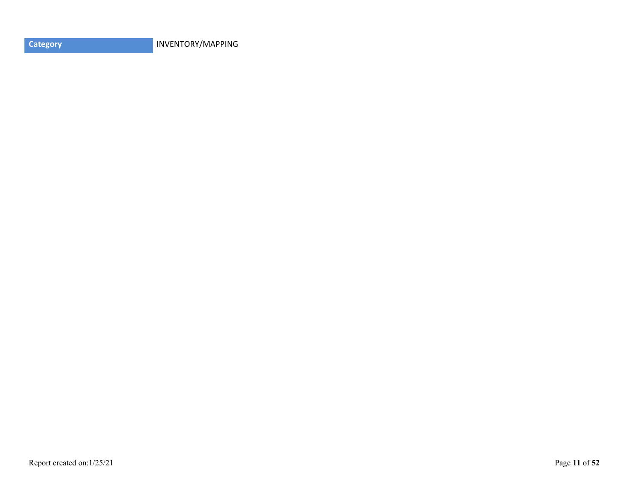**Category INVENTORY/MAPPING**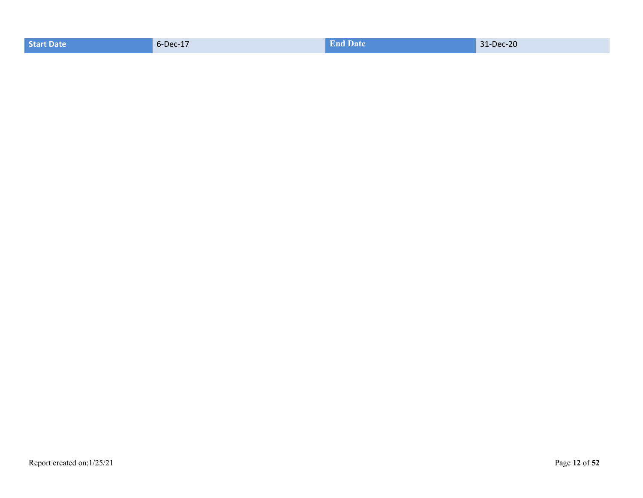| <b>End Date</b><br>$6$ -Dec-17<br>31-Dec-20<br><b>Start Date</b> |  |
|------------------------------------------------------------------|--|
|------------------------------------------------------------------|--|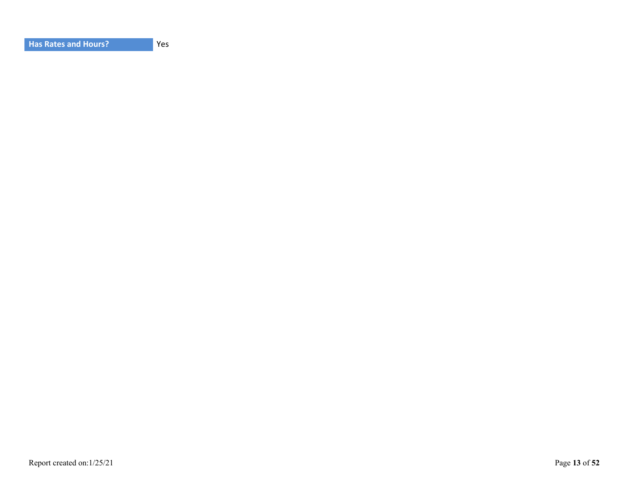| <b>Has Rates and Hours?</b> |
|-----------------------------|
|-----------------------------|

Yes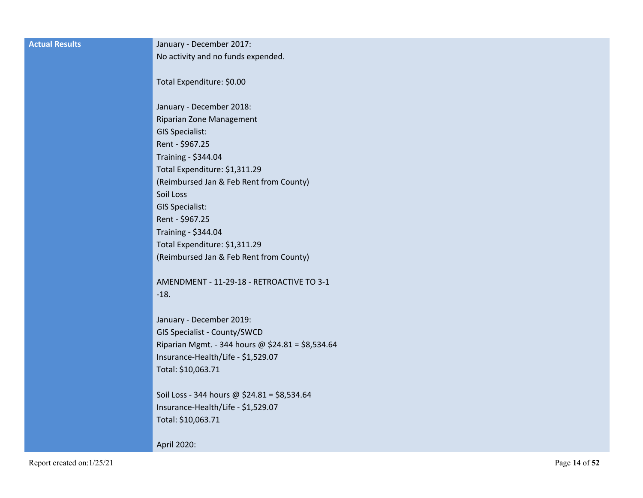| <b>Actual Results</b>      | January - December 2017:                          |               |
|----------------------------|---------------------------------------------------|---------------|
|                            | No activity and no funds expended.                |               |
|                            | Total Expenditure: \$0.00                         |               |
|                            | January - December 2018:                          |               |
|                            | Riparian Zone Management                          |               |
|                            | <b>GIS Specialist:</b>                            |               |
|                            | Rent - \$967.25                                   |               |
|                            | Training - \$344.04                               |               |
|                            | Total Expenditure: \$1,311.29                     |               |
|                            | (Reimbursed Jan & Feb Rent from County)           |               |
|                            | Soil Loss                                         |               |
|                            | <b>GIS Specialist:</b>                            |               |
|                            | Rent - \$967.25                                   |               |
|                            | Training - \$344.04                               |               |
|                            | Total Expenditure: \$1,311.29                     |               |
|                            | (Reimbursed Jan & Feb Rent from County)           |               |
|                            | AMENDMENT - 11-29-18 - RETROACTIVE TO 3-1         |               |
|                            | $-18.$                                            |               |
|                            | January - December 2019:                          |               |
|                            | GIS Specialist - County/SWCD                      |               |
|                            | Riparian Mgmt. - 344 hours @ \$24.81 = \$8,534.64 |               |
|                            | Insurance-Health/Life - \$1,529.07                |               |
|                            | Total: \$10,063.71                                |               |
|                            | Soil Loss - 344 hours @ \$24.81 = \$8,534.64      |               |
|                            | Insurance-Health/Life - \$1,529.07                |               |
|                            | Total: \$10,063.71                                |               |
|                            | April 2020:                                       |               |
| Report created on: 1/25/21 |                                                   | Page 14 of 52 |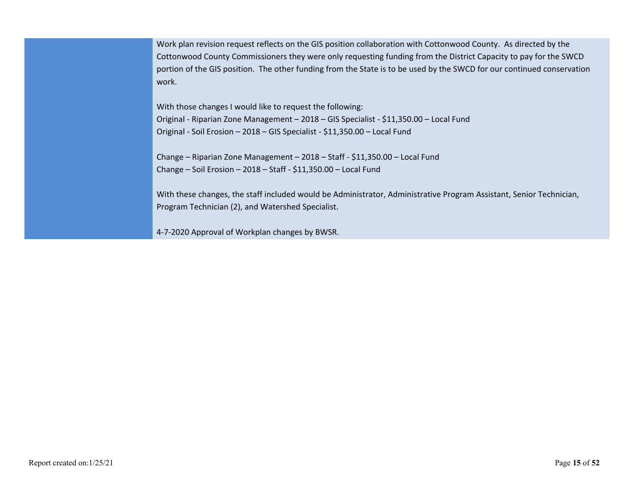Work plan revision request reflects on the GIS position collaboration with Cottonwood County. As directed by the Cottonwood County Commissioners they were only requesting funding from the District Capacity to pay for the SWCD portion of the GIS position. The other funding from the State is to be used by the SWCD for our continued conservation work.

With those changes I would like to request the following: Original - Riparian Zone Management – 2018 – GIS Specialist - \$11,350.00 – Local Fund Original - Soil Erosion – 2018 – GIS Specialist - \$11,350.00 – Local Fund

Change – Riparian Zone Management – 2018 – Staff - \$11,350.00 – Local Fund Change – Soil Erosion – 2018 – Staff - \$11,350.00 – Local Fund

With these changes, the staff included would be Administrator, Administrative Program Assistant, Senior Technician, Program Technician (2), and Watershed Specialist.

4-7-2020 Approval of Workplan changes by BWSR.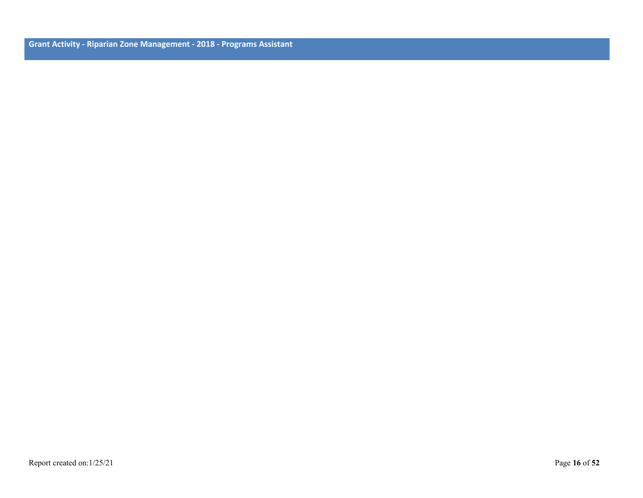**Grant Activity - Riparian Zone Management - 2018 - Programs Assistant**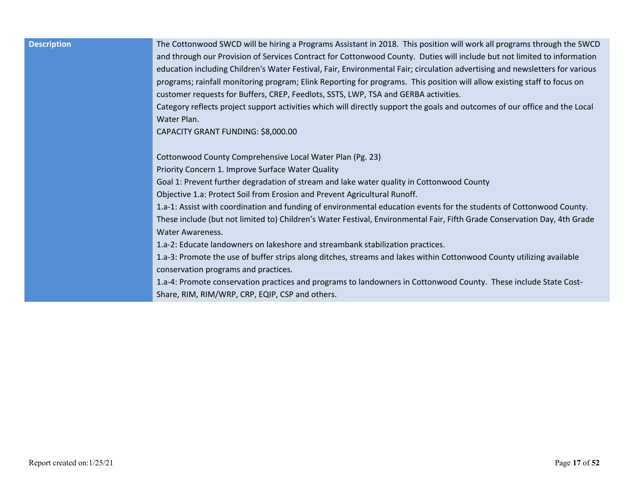| <b>Description</b> | The Cottonwood SWCD will be hiring a Programs Assistant in 2018. This position will work all programs through the SWCD<br>and through our Provision of Services Contract for Cottonwood County. Duties will include but not limited to information<br>education including Children's Water Festival, Fair, Environmental Fair; circulation advertising and newsletters for various                                                                                                                                              |
|--------------------|---------------------------------------------------------------------------------------------------------------------------------------------------------------------------------------------------------------------------------------------------------------------------------------------------------------------------------------------------------------------------------------------------------------------------------------------------------------------------------------------------------------------------------|
|                    | programs; rainfall monitoring program; Elink Reporting for programs. This position will allow existing staff to focus on<br>customer requests for Buffers, CREP, Feedlots, SSTS, LWP, TSA and GERBA activities.<br>Category reflects project support activities which will directly support the goals and outcomes of our office and the Local<br>Water Plan.                                                                                                                                                                   |
|                    | CAPACITY GRANT FUNDING: \$8,000.00<br>Cottonwood County Comprehensive Local Water Plan (Pg. 23)<br>Priority Concern 1. Improve Surface Water Quality<br>Goal 1: Prevent further degradation of stream and lake water quality in Cottonwood County<br>Objective 1.a: Protect Soil from Erosion and Prevent Agricultural Runoff.                                                                                                                                                                                                  |
|                    | 1.a-1: Assist with coordination and funding of environmental education events for the students of Cottonwood County.<br>These include (but not limited to) Children's Water Festival, Environmental Fair, Fifth Grade Conservation Day, 4th Grade<br><b>Water Awareness.</b><br>1.a-2: Educate landowners on lakeshore and streambank stabilization practices.<br>1.a-3: Promote the use of buffer strips along ditches, streams and lakes within Cottonwood County utilizing available<br>conservation programs and practices. |
|                    | 1.a-4: Promote conservation practices and programs to landowners in Cottonwood County. These include State Cost-<br>Share, RIM, RIM/WRP, CRP, EQIP, CSP and others.                                                                                                                                                                                                                                                                                                                                                             |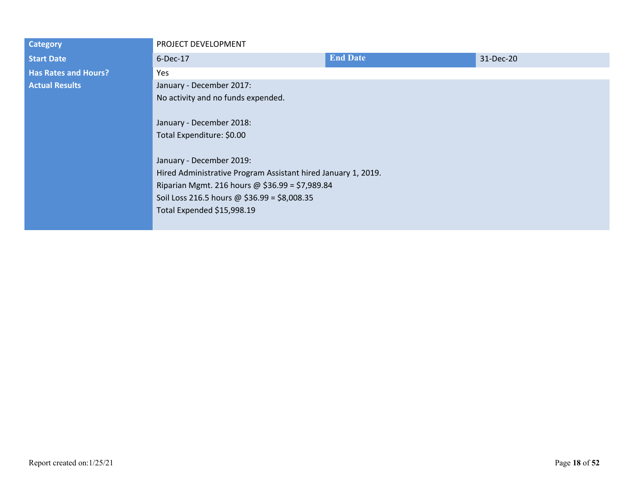| <b>Category</b>             | PROJECT DEVELOPMENT                                                                                                                                                                                                                                   |                 |           |  |
|-----------------------------|-------------------------------------------------------------------------------------------------------------------------------------------------------------------------------------------------------------------------------------------------------|-----------------|-----------|--|
| <b>Start Date</b>           | 6-Dec-17                                                                                                                                                                                                                                              | <b>End Date</b> | 31-Dec-20 |  |
| <b>Has Rates and Hours?</b> | Yes                                                                                                                                                                                                                                                   |                 |           |  |
| <b>Actual Results</b>       | January - December 2017:                                                                                                                                                                                                                              |                 |           |  |
|                             | No activity and no funds expended.                                                                                                                                                                                                                    |                 |           |  |
|                             |                                                                                                                                                                                                                                                       |                 |           |  |
|                             | January - December 2018:<br>Total Expenditure: \$0.00<br>January - December 2019:<br>Hired Administrative Program Assistant hired January 1, 2019.<br>Riparian Mgmt. 216 hours @ \$36.99 = \$7,989.84<br>Soil Loss 216.5 hours @ $$36.99 = $8,008.35$ |                 |           |  |
|                             |                                                                                                                                                                                                                                                       |                 |           |  |
|                             |                                                                                                                                                                                                                                                       |                 |           |  |
|                             |                                                                                                                                                                                                                                                       |                 |           |  |
|                             |                                                                                                                                                                                                                                                       |                 |           |  |
|                             |                                                                                                                                                                                                                                                       |                 |           |  |
|                             |                                                                                                                                                                                                                                                       |                 |           |  |
|                             | Total Expended \$15,998.19                                                                                                                                                                                                                            |                 |           |  |
|                             |                                                                                                                                                                                                                                                       |                 |           |  |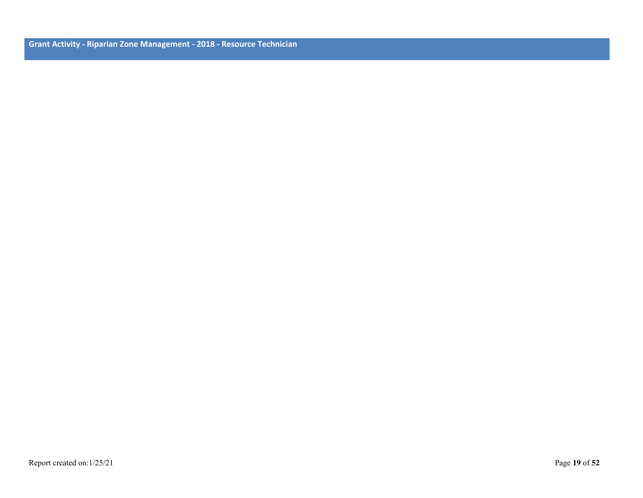**Grant Activity - Riparian Zone Management - 2018 - Resource Technician**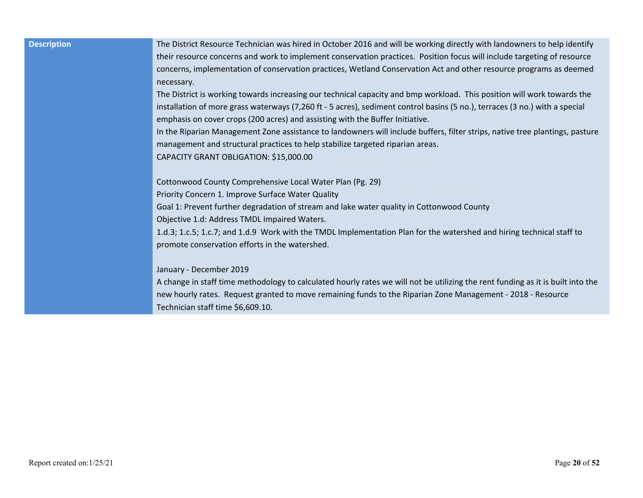| Technician staff time \$6,609.10. |
|-----------------------------------|
|-----------------------------------|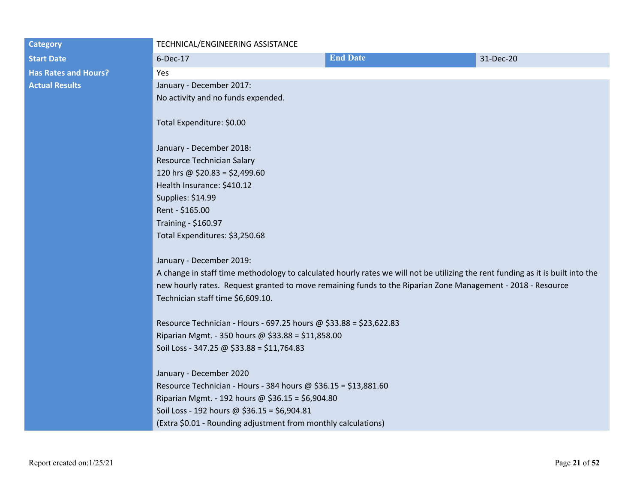| <b>Category</b>             | TECHNICAL/ENGINEERING ASSISTANCE                                                                                                |                 |           |  |
|-----------------------------|---------------------------------------------------------------------------------------------------------------------------------|-----------------|-----------|--|
| <b>Start Date</b>           | 6-Dec-17                                                                                                                        | <b>End Date</b> | 31-Dec-20 |  |
| <b>Has Rates and Hours?</b> | Yes                                                                                                                             |                 |           |  |
| <b>Actual Results</b>       | January - December 2017:                                                                                                        |                 |           |  |
|                             | No activity and no funds expended.                                                                                              |                 |           |  |
|                             |                                                                                                                                 |                 |           |  |
|                             | Total Expenditure: \$0.00                                                                                                       |                 |           |  |
|                             |                                                                                                                                 |                 |           |  |
|                             | January - December 2018:                                                                                                        |                 |           |  |
|                             | Resource Technician Salary                                                                                                      |                 |           |  |
|                             | 120 hrs @ $$20.83 = $2,499.60$                                                                                                  |                 |           |  |
|                             | Health Insurance: \$410.12                                                                                                      |                 |           |  |
|                             | Supplies: \$14.99                                                                                                               |                 |           |  |
|                             | Rent - \$165.00                                                                                                                 |                 |           |  |
|                             | Training - \$160.97                                                                                                             |                 |           |  |
|                             | Total Expenditures: \$3,250.68                                                                                                  |                 |           |  |
|                             |                                                                                                                                 |                 |           |  |
|                             | January - December 2019:                                                                                                        |                 |           |  |
|                             | A change in staff time methodology to calculated hourly rates we will not be utilizing the rent funding as it is built into the |                 |           |  |
|                             | new hourly rates. Request granted to move remaining funds to the Riparian Zone Management - 2018 - Resource                     |                 |           |  |
|                             | Technician staff time \$6,609.10.                                                                                               |                 |           |  |
|                             | Resource Technician - Hours - 697.25 hours @ \$33.88 = \$23,622.83                                                              |                 |           |  |
|                             | Riparian Mgmt. - 350 hours @ \$33.88 = \$11,858.00                                                                              |                 |           |  |
|                             | Soil Loss - 347.25 @ \$33.88 = \$11,764.83                                                                                      |                 |           |  |
|                             |                                                                                                                                 |                 |           |  |
|                             | January - December 2020                                                                                                         |                 |           |  |
|                             | Resource Technician - Hours - 384 hours @ $$36.15 = $13,881.60$                                                                 |                 |           |  |
|                             | Riparian Mgmt. - 192 hours @ \$36.15 = \$6,904.80                                                                               |                 |           |  |
|                             | Soil Loss - 192 hours @ \$36.15 = \$6,904.81                                                                                    |                 |           |  |
|                             | (Extra \$0.01 - Rounding adjustment from monthly calculations)                                                                  |                 |           |  |
|                             |                                                                                                                                 |                 |           |  |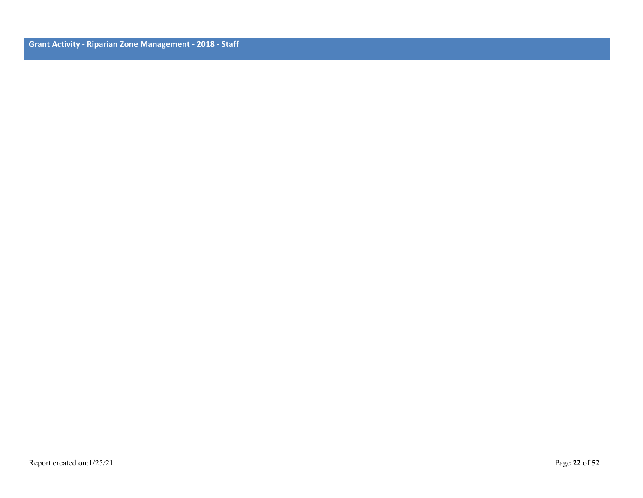**Grant Activity - Riparian Zone Management - 2018 - Staff**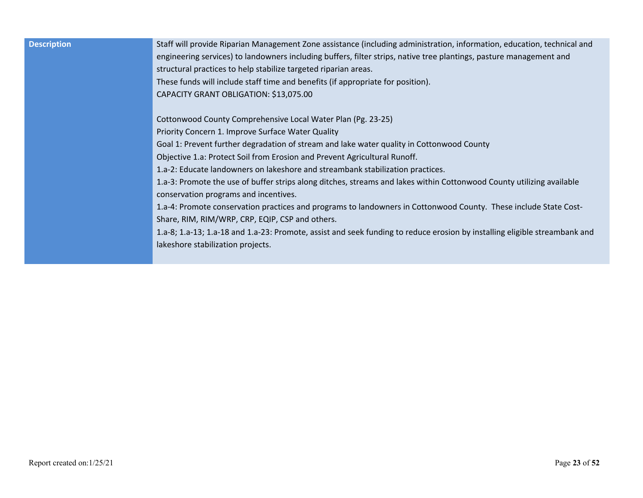| <b>Description</b> | Staff will provide Riparian Management Zone assistance (including administration, information, education, technical and<br>engineering services) to landowners including buffers, filter strips, native tree plantings, pasture management and<br>structural practices to help stabilize targeted riparian areas.<br>These funds will include staff time and benefits (if appropriate for position).<br>CAPACITY GRANT OBLIGATION: \$13,075.00 |
|--------------------|------------------------------------------------------------------------------------------------------------------------------------------------------------------------------------------------------------------------------------------------------------------------------------------------------------------------------------------------------------------------------------------------------------------------------------------------|
|                    | Cottonwood County Comprehensive Local Water Plan (Pg. 23-25)<br>Priority Concern 1. Improve Surface Water Quality                                                                                                                                                                                                                                                                                                                              |
|                    |                                                                                                                                                                                                                                                                                                                                                                                                                                                |
|                    | Goal 1: Prevent further degradation of stream and lake water quality in Cottonwood County                                                                                                                                                                                                                                                                                                                                                      |
|                    | Objective 1.a: Protect Soil from Erosion and Prevent Agricultural Runoff.                                                                                                                                                                                                                                                                                                                                                                      |
|                    | 1.a-2: Educate landowners on lakeshore and streambank stabilization practices.                                                                                                                                                                                                                                                                                                                                                                 |
|                    | 1.a-3: Promote the use of buffer strips along ditches, streams and lakes within Cottonwood County utilizing available                                                                                                                                                                                                                                                                                                                          |
|                    | conservation programs and incentives.                                                                                                                                                                                                                                                                                                                                                                                                          |
|                    | 1.a-4: Promote conservation practices and programs to landowners in Cottonwood County. These include State Cost-                                                                                                                                                                                                                                                                                                                               |
|                    | Share, RIM, RIM/WRP, CRP, EQIP, CSP and others.                                                                                                                                                                                                                                                                                                                                                                                                |
|                    | 1.a-8; 1.a-13; 1.a-18 and 1.a-23: Promote, assist and seek funding to reduce erosion by installing eligible streambank and                                                                                                                                                                                                                                                                                                                     |
|                    | lakeshore stabilization projects.                                                                                                                                                                                                                                                                                                                                                                                                              |
|                    |                                                                                                                                                                                                                                                                                                                                                                                                                                                |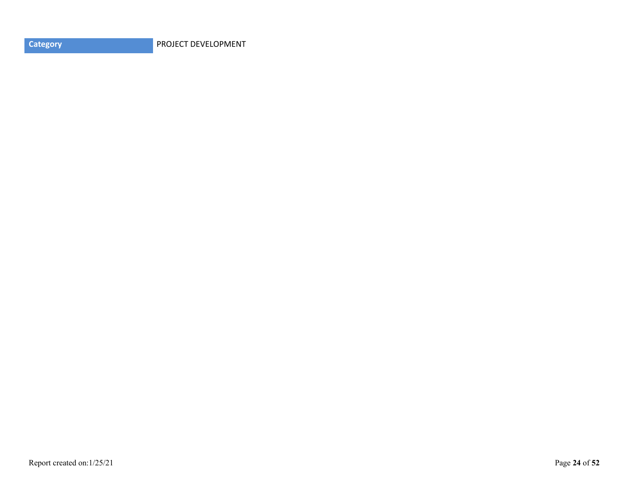**Category PROJECT DEVELOPMENT**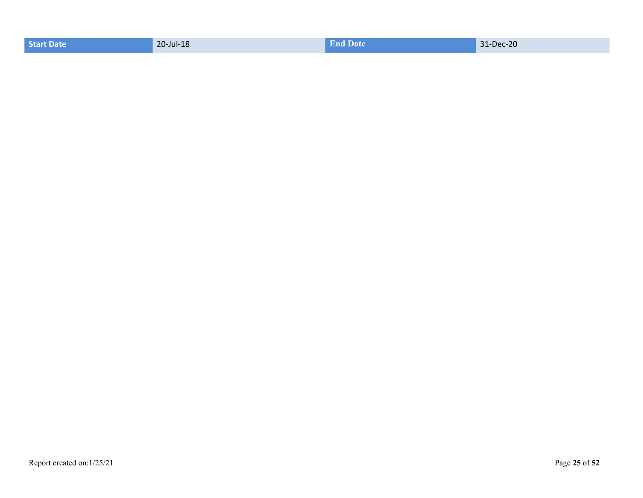| <b>End Date</b><br>31-Dec-20<br>20-Jul-18<br><b>Start Date</b> |  |
|----------------------------------------------------------------|--|
|----------------------------------------------------------------|--|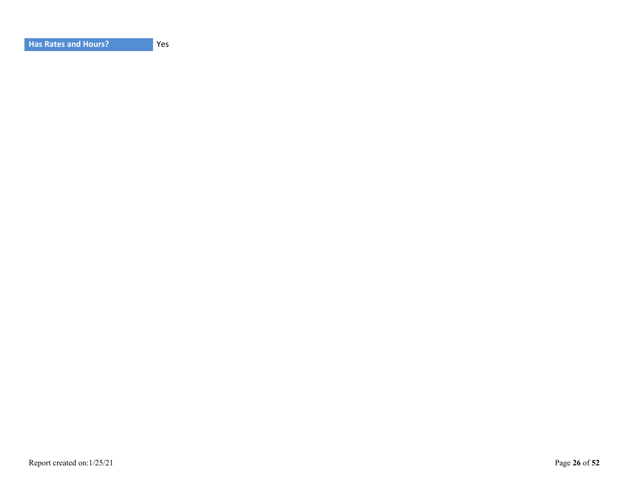Yes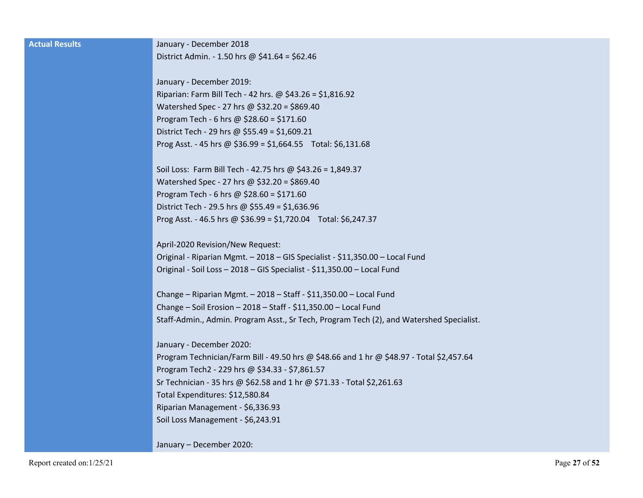| <b>Actual Results</b> | January - December 2018                                                                  |
|-----------------------|------------------------------------------------------------------------------------------|
|                       | District Admin. - 1.50 hrs @ \$41.64 = \$62.46                                           |
|                       |                                                                                          |
|                       | January - December 2019:                                                                 |
|                       | Riparian: Farm Bill Tech - 42 hrs. @ \$43.26 = \$1,816.92                                |
|                       | Watershed Spec - 27 hrs @ \$32.20 = \$869.40                                             |
|                       | Program Tech - 6 hrs @ $$28.60 = $171.60$                                                |
|                       | District Tech - 29 hrs @ \$55.49 = \$1,609.21                                            |
|                       | Prog Asst. - 45 hrs @ $$36.99 = $1,664.55$ Total: \$6,131.68                             |
|                       |                                                                                          |
|                       | Soil Loss: Farm Bill Tech - 42.75 hrs @ \$43.26 = 1,849.37                               |
|                       | Watershed Spec - 27 hrs @ \$32.20 = \$869.40                                             |
|                       | Program Tech - 6 hrs @ $$28.60 = $171.60$                                                |
|                       | District Tech - 29.5 hrs @ \$55.49 = \$1,636.96                                          |
|                       | Prog Asst. - 46.5 hrs @ $$36.99 = $1,720.04$ Total: \$6,247.37                           |
|                       |                                                                                          |
|                       | April-2020 Revision/New Request:                                                         |
|                       | Original - Riparian Mgmt. - 2018 - GIS Specialist - \$11,350.00 - Local Fund             |
|                       | Original - Soil Loss - 2018 - GIS Specialist - \$11,350.00 - Local Fund                  |
|                       | Change - Riparian Mgmt. - 2018 - Staff - \$11,350.00 - Local Fund                        |
|                       | Change - Soil Erosion - 2018 - Staff - \$11,350.00 - Local Fund                          |
|                       | Staff-Admin., Admin. Program Asst., Sr Tech, Program Tech (2), and Watershed Specialist. |
|                       |                                                                                          |
|                       | January - December 2020:                                                                 |
|                       | Program Technician/Farm Bill - 49.50 hrs @ \$48.66 and 1 hr @ \$48.97 - Total \$2,457.64 |
|                       | Program Tech2 - 229 hrs @ \$34.33 - \$7,861.57                                           |
|                       | Sr Technician - 35 hrs @ \$62.58 and 1 hr @ \$71.33 - Total \$2,261.63                   |
|                       | Total Expenditures: \$12,580.84                                                          |
|                       | Riparian Management - \$6,336.93                                                         |
|                       | Soil Loss Management - \$6,243.91                                                        |
|                       |                                                                                          |
|                       | January - December 2020:                                                                 |
|                       |                                                                                          |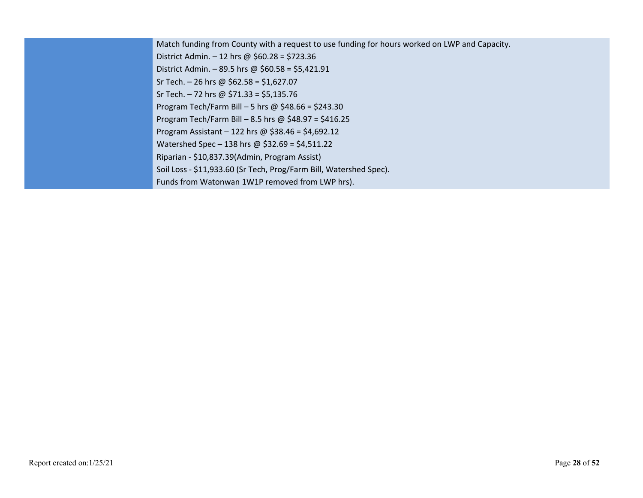Match funding from County with a request to use funding for hours worked on LWP and Capacity. District Admin. – 12 hrs @ \$60.28 = \$723.36 District Admin. – 89.5 hrs @ \$60.58 = \$5,421.91 Sr Tech. – 26 hrs @ \$62.58 = \$1,627.07 Sr Tech. – 72 hrs @ \$71.33 = \$5,135.76 Program Tech/Farm Bill – 5 hrs @ \$48.66 = \$243.30 Program Tech/Farm Bill – 8.5 hrs @ \$48.97 = \$416.25 Program Assistant – 122 hrs @ \$38.46 = \$4,692.12 Watershed Spec – 138 hrs @ \$32.69 = \$4,511.22 Riparian - \$10,837.39(Admin, Program Assist) Soil Loss - \$11,933.60 (Sr Tech, Prog/Farm Bill, Watershed Spec). Funds from Watonwan 1W1P removed from LWP hrs).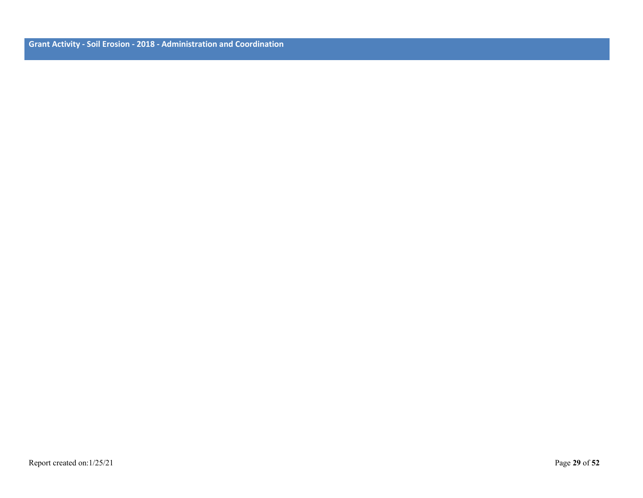**Grant Activity - Soil Erosion - 2018 - Administration and Coordination**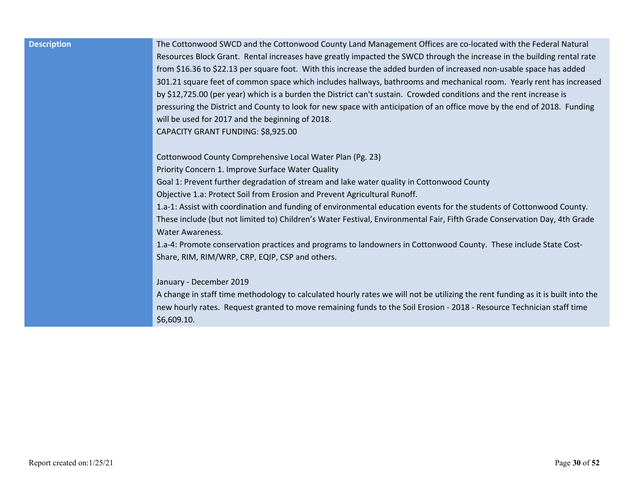| <b>Description</b> |  |
|--------------------|--|
|                    |  |

**Description** The Cottonwood SWCD and the Cottonwood County Land Management Offices are co-located with the Federal Natural Resources Block Grant. Rental increases have greatly impacted the SWCD through the increase in the building rental rate from \$16.36 to \$22.13 per square foot. With this increase the added burden of increased non-usable space has added 301.21 square feet of common space which includes hallways, bathrooms and mechanical room. Yearly rent has increased by \$12,725.00 (per year) which is a burden the District can't sustain. Crowded conditions and the rent increase is pressuring the District and County to look for new space with anticipation of an office move by the end of 2018. Funding will be used for 2017 and the beginning of 2018. CAPACITY GRANT FUNDING: \$8,925.00

Cottonwood County Comprehensive Local Water Plan (Pg. 23)

Priority Concern 1. Improve Surface Water Quality

Goal 1: Prevent further degradation of stream and lake water quality in Cottonwood County

Objective 1.a: Protect Soil from Erosion and Prevent Agricultural Runoff.

1.a-1: Assist with coordination and funding of environmental education events for the students of Cottonwood County. These include (but not limited to) Children's Water Festival, Environmental Fair, Fifth Grade Conservation Day, 4th Grade Water Awareness.

1.a-4: Promote conservation practices and programs to landowners in Cottonwood County. These include State Cost-Share, RIM, RIM/WRP, CRP, EQIP, CSP and others.

#### January - December 2019

A change in staff time methodology to calculated hourly rates we will not be utilizing the rent funding as it is built into the new hourly rates. Request granted to move remaining funds to the Soil Erosion - 2018 - Resource Technician staff time \$6,609.10.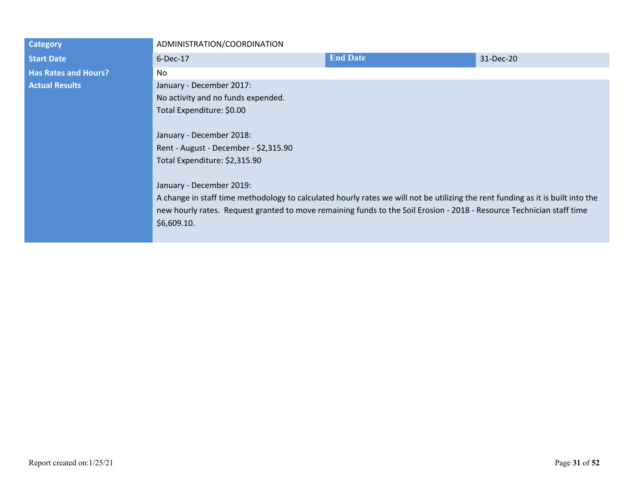| <b>Category</b>             | ADMINISTRATION/COORDINATION                                                                                                     |                 |           |  |
|-----------------------------|---------------------------------------------------------------------------------------------------------------------------------|-----------------|-----------|--|
| <b>Start Date</b>           | $6$ -Dec-17                                                                                                                     | <b>End Date</b> | 31-Dec-20 |  |
| <b>Has Rates and Hours?</b> | No.                                                                                                                             |                 |           |  |
| <b>Actual Results</b>       | January - December 2017:                                                                                                        |                 |           |  |
|                             | No activity and no funds expended.                                                                                              |                 |           |  |
|                             | Total Expenditure: \$0.00                                                                                                       |                 |           |  |
|                             |                                                                                                                                 |                 |           |  |
|                             | January - December 2018:                                                                                                        |                 |           |  |
|                             | Rent - August - December - \$2,315.90                                                                                           |                 |           |  |
|                             | Total Expenditure: \$2,315.90                                                                                                   |                 |           |  |
|                             |                                                                                                                                 |                 |           |  |
|                             | January - December 2019:                                                                                                        |                 |           |  |
|                             | A change in staff time methodology to calculated hourly rates we will not be utilizing the rent funding as it is built into the |                 |           |  |
|                             | new hourly rates. Request granted to move remaining funds to the Soil Erosion - 2018 - Resource Technician staff time           |                 |           |  |
|                             | \$6,609.10.                                                                                                                     |                 |           |  |
|                             |                                                                                                                                 |                 |           |  |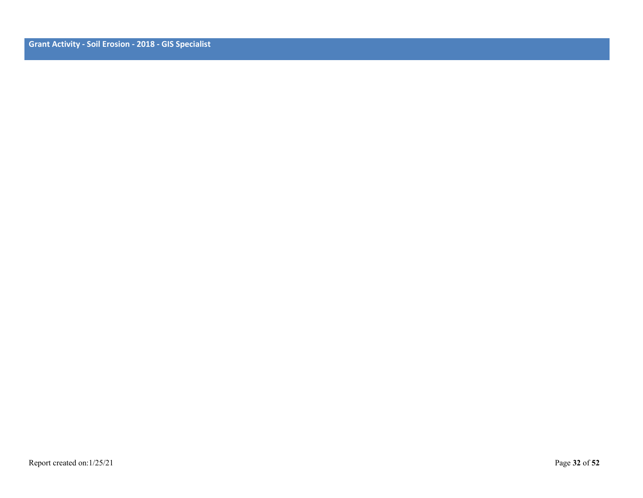**Grant Activity - Soil Erosion - 2018 - GIS Specialist**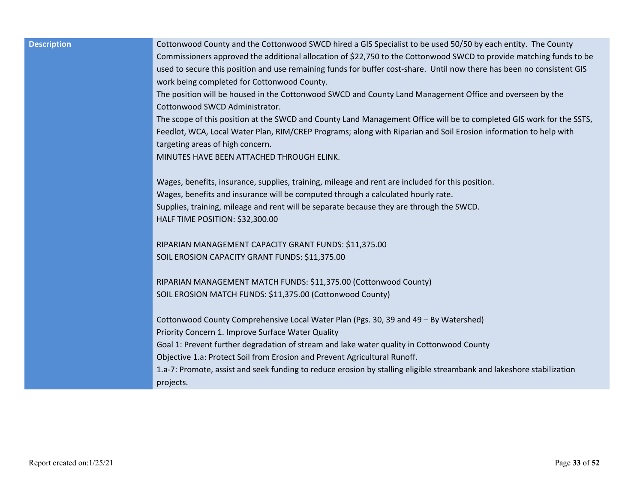| <b>Description</b> | Cottonwood County and the Cottonwood SWCD hired a GIS Specialist to be used 50/50 by each entity. The County<br>Commissioners approved the additional allocation of \$22,750 to the Cottonwood SWCD to provide matching funds to be<br>used to secure this position and use remaining funds for buffer cost-share. Until now there has been no consistent GIS<br>work being completed for Cottonwood County.                                              |
|--------------------|-----------------------------------------------------------------------------------------------------------------------------------------------------------------------------------------------------------------------------------------------------------------------------------------------------------------------------------------------------------------------------------------------------------------------------------------------------------|
|                    | The position will be housed in the Cottonwood SWCD and County Land Management Office and overseen by the<br>Cottonwood SWCD Administrator.                                                                                                                                                                                                                                                                                                                |
|                    | The scope of this position at the SWCD and County Land Management Office will be to completed GIS work for the SSTS,<br>Feedlot, WCA, Local Water Plan, RIM/CREP Programs; along with Riparian and Soil Erosion information to help with<br>targeting areas of high concern.<br>MINUTES HAVE BEEN ATTACHED THROUGH ELINK.                                                                                                                                 |
|                    | Wages, benefits, insurance, supplies, training, mileage and rent are included for this position.<br>Wages, benefits and insurance will be computed through a calculated hourly rate.<br>Supplies, training, mileage and rent will be separate because they are through the SWCD.<br>HALF TIME POSITION: \$32,300.00                                                                                                                                       |
|                    | RIPARIAN MANAGEMENT CAPACITY GRANT FUNDS: \$11,375.00<br>SOIL EROSION CAPACITY GRANT FUNDS: \$11,375.00                                                                                                                                                                                                                                                                                                                                                   |
|                    | RIPARIAN MANAGEMENT MATCH FUNDS: \$11,375.00 (Cottonwood County)<br>SOIL EROSION MATCH FUNDS: \$11,375.00 (Cottonwood County)                                                                                                                                                                                                                                                                                                                             |
|                    | Cottonwood County Comprehensive Local Water Plan (Pgs. 30, 39 and 49 - By Watershed)<br>Priority Concern 1. Improve Surface Water Quality<br>Goal 1: Prevent further degradation of stream and lake water quality in Cottonwood County<br>Objective 1.a: Protect Soil from Erosion and Prevent Agricultural Runoff.<br>1.a-7: Promote, assist and seek funding to reduce erosion by stalling eligible streambank and lakeshore stabilization<br>projects. |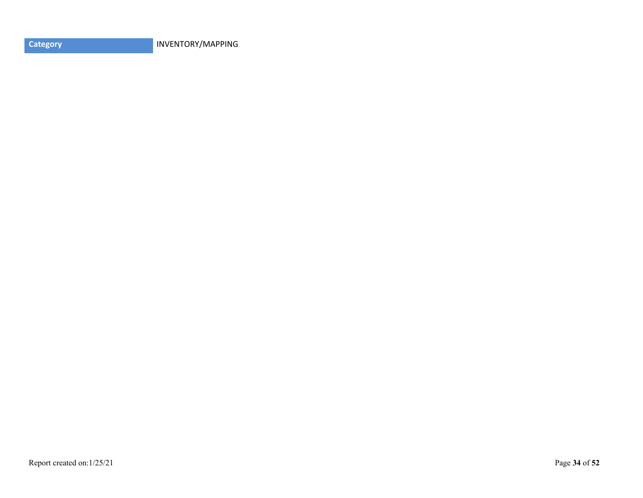**Category INVENTORY/MAPPING**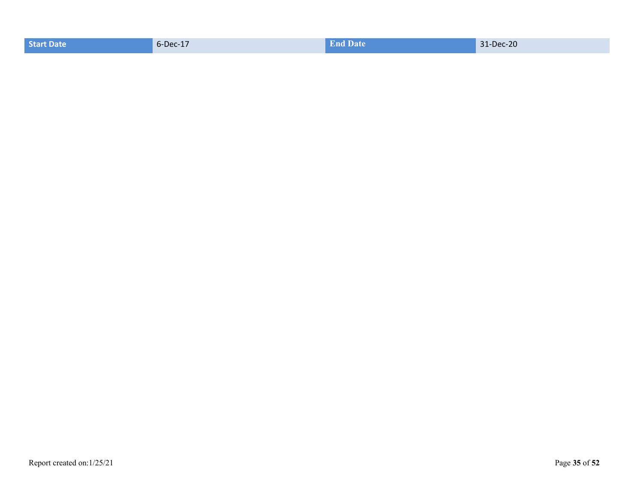| <b>End Date</b><br>6-Dec-17<br>31-Dec-20<br><b>Start Date</b> |  |
|---------------------------------------------------------------|--|
|---------------------------------------------------------------|--|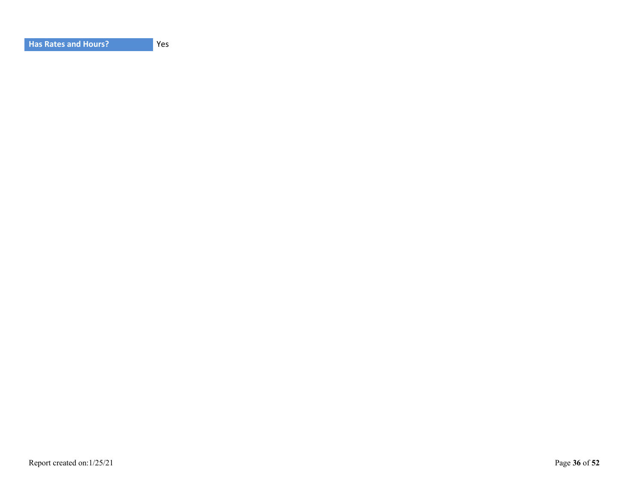| <b>Has Rates and Hours?</b> |
|-----------------------------|
|-----------------------------|

Yes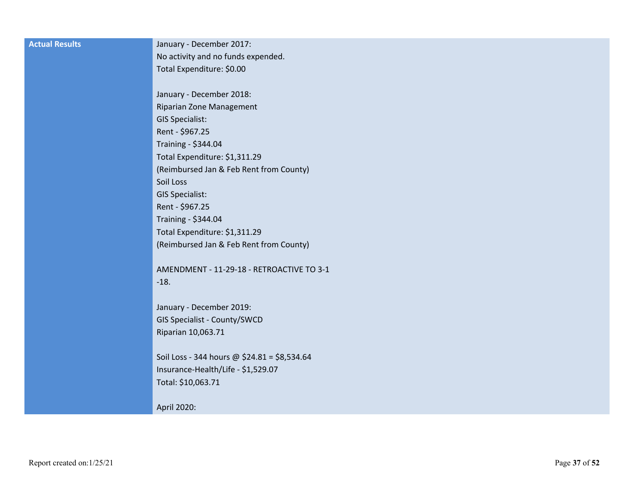| <b>Actual Results</b> | January - December 2017:                     |
|-----------------------|----------------------------------------------|
|                       | No activity and no funds expended.           |
|                       | Total Expenditure: \$0.00                    |
|                       |                                              |
|                       | January - December 2018:                     |
|                       | Riparian Zone Management                     |
|                       | <b>GIS Specialist:</b>                       |
|                       | Rent - \$967.25                              |
|                       | Training - \$344.04                          |
|                       | Total Expenditure: \$1,311.29                |
|                       | (Reimbursed Jan & Feb Rent from County)      |
|                       | Soil Loss                                    |
|                       | <b>GIS Specialist:</b>                       |
|                       | Rent - \$967.25                              |
|                       | Training - \$344.04                          |
|                       | Total Expenditure: \$1,311.29                |
|                       | (Reimbursed Jan & Feb Rent from County)      |
|                       |                                              |
|                       | AMENDMENT - 11-29-18 - RETROACTIVE TO 3-1    |
|                       | $-18.$                                       |
|                       |                                              |
|                       | January - December 2019:                     |
|                       | GIS Specialist - County/SWCD                 |
|                       | Riparian 10,063.71                           |
|                       |                                              |
|                       | Soil Loss - 344 hours @ \$24.81 = \$8,534.64 |
|                       | Insurance-Health/Life - \$1,529.07           |
|                       | Total: \$10,063.71                           |
|                       |                                              |
|                       | April 2020:                                  |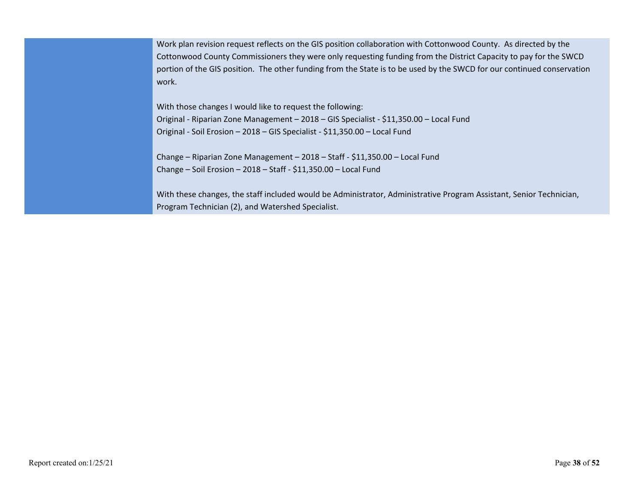Work plan revision request reflects on the GIS position collaboration with Cottonwood County. As directed by the Cottonwood County Commissioners they were only requesting funding from the District Capacity to pay for the SWCD portion of the GIS position. The other funding from the State is to be used by the SWCD for our continued conservation work.

With those changes I would like to request the following: Original - Riparian Zone Management – 2018 – GIS Specialist - \$11,350.00 – Local Fund Original - Soil Erosion – 2018 – GIS Specialist - \$11,350.00 – Local Fund

Change – Riparian Zone Management – 2018 – Staff - \$11,350.00 – Local Fund Change – Soil Erosion – 2018 – Staff - \$11,350.00 – Local Fund

With these changes, the staff included would be Administrator, Administrative Program Assistant, Senior Technician, Program Technician (2), and Watershed Specialist.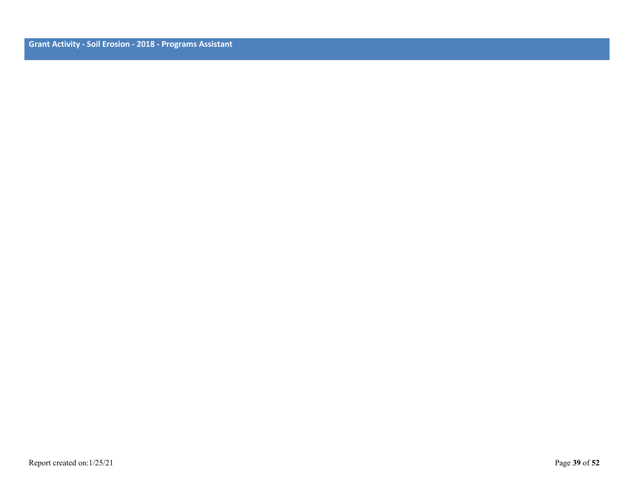**Grant Activity - Soil Erosion - 2018 - Programs Assistant**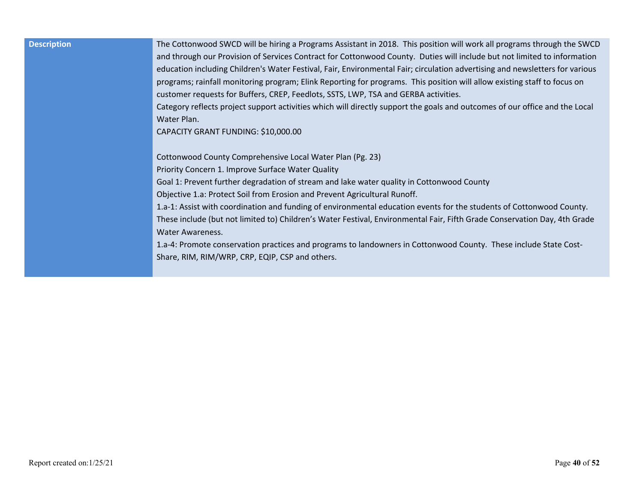| <b>Description</b> | The Cottonwood SWCD will be hiring a Programs Assistant in 2018. This position will work all programs through the SWCD       |
|--------------------|------------------------------------------------------------------------------------------------------------------------------|
|                    | and through our Provision of Services Contract for Cottonwood County. Duties will include but not limited to information     |
|                    | education including Children's Water Festival, Fair, Environmental Fair; circulation advertising and newsletters for various |
|                    | programs; rainfall monitoring program; Elink Reporting for programs. This position will allow existing staff to focus on     |
|                    | customer requests for Buffers, CREP, Feedlots, SSTS, LWP, TSA and GERBA activities.                                          |
|                    | Category reflects project support activities which will directly support the goals and outcomes of our office and the Local  |
|                    | Water Plan.                                                                                                                  |
|                    | CAPACITY GRANT FUNDING: \$10,000.00                                                                                          |
|                    |                                                                                                                              |
|                    | Cottonwood County Comprehensive Local Water Plan (Pg. 23)                                                                    |
|                    | Priority Concern 1. Improve Surface Water Quality                                                                            |
|                    | Goal 1: Prevent further degradation of stream and lake water quality in Cottonwood County                                    |
|                    | Objective 1.a: Protect Soil from Erosion and Prevent Agricultural Runoff.                                                    |
|                    | 1.a-1: Assist with coordination and funding of environmental education events for the students of Cottonwood County.         |
|                    | These include (but not limited to) Children's Water Festival, Environmental Fair, Fifth Grade Conservation Day, 4th Grade    |
|                    | <b>Water Awareness.</b>                                                                                                      |
|                    | 1.a-4: Promote conservation practices and programs to landowners in Cottonwood County. These include State Cost-             |
|                    | Share, RIM, RIM/WRP, CRP, EQIP, CSP and others.                                                                              |
|                    |                                                                                                                              |
|                    |                                                                                                                              |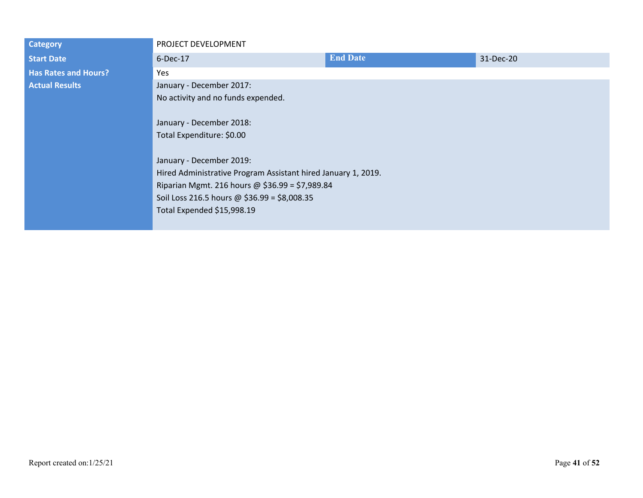| <b>Category</b>             | PROJECT DEVELOPMENT                                           |                 |           |
|-----------------------------|---------------------------------------------------------------|-----------------|-----------|
| <b>Start Date</b>           | $6$ -Dec-17                                                   | <b>End Date</b> | 31-Dec-20 |
| <b>Has Rates and Hours?</b> | Yes                                                           |                 |           |
| <b>Actual Results</b>       | January - December 2017:                                      |                 |           |
|                             | No activity and no funds expended.                            |                 |           |
|                             |                                                               |                 |           |
|                             | January - December 2018:                                      |                 |           |
|                             | Total Expenditure: \$0.00                                     |                 |           |
|                             |                                                               |                 |           |
|                             | January - December 2019:                                      |                 |           |
|                             | Hired Administrative Program Assistant hired January 1, 2019. |                 |           |
|                             | Riparian Mgmt. 216 hours @ \$36.99 = \$7,989.84               |                 |           |
|                             | Soil Loss 216.5 hours @ \$36.99 = \$8,008.35                  |                 |           |
|                             | Total Expended \$15,998.19                                    |                 |           |
|                             |                                                               |                 |           |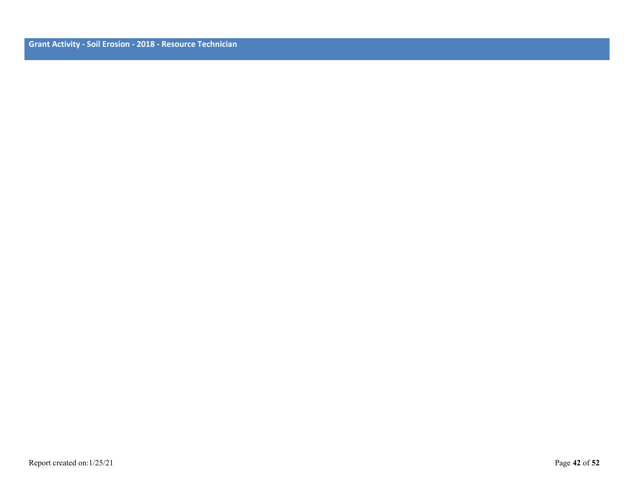**Grant Activity - Soil Erosion - 2018 - Resource Technician**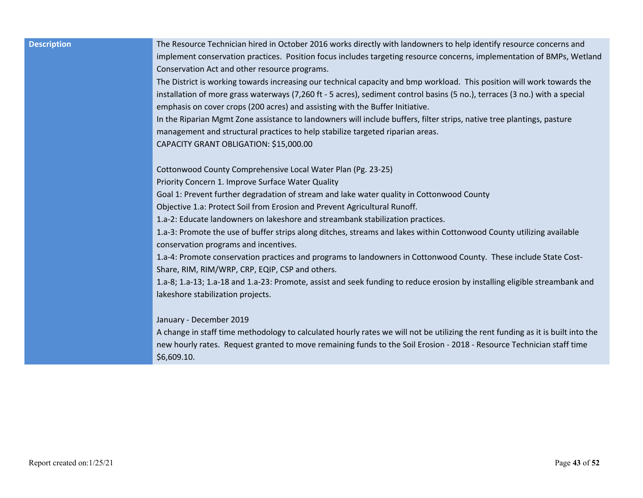**Description** The Resource Technician hired in October 2016 works directly with landowners to help identify resource concerns and implement conservation practices. Position focus includes targeting resource concerns, implementation of BMPs, Wetland Conservation Act and other resource programs.

> The District is working towards increasing our technical capacity and bmp workload. This position will work towards the installation of more grass waterways (7,260 ft - 5 acres), sediment control basins (5 no.), terraces (3 no.) with a special emphasis on cover crops (200 acres) and assisting with the Buffer Initiative.

In the Riparian Mgmt Zone assistance to landowners will include buffers, filter strips, native tree plantings, pasture management and structural practices to help stabilize targeted riparian areas. CAPACITY GRANT OBLIGATION: \$15,000.00

Cottonwood County Comprehensive Local Water Plan (Pg. 23-25)

Priority Concern 1. Improve Surface Water Quality

Goal 1: Prevent further degradation of stream and lake water quality in Cottonwood County

Objective 1.a: Protect Soil from Erosion and Prevent Agricultural Runoff.

1.a-2: Educate landowners on lakeshore and streambank stabilization practices.

1.a-3: Promote the use of buffer strips along ditches, streams and lakes within Cottonwood County utilizing available conservation programs and incentives.

1.a-4: Promote conservation practices and programs to landowners in Cottonwood County. These include State Cost-Share, RIM, RIM/WRP, CRP, EQIP, CSP and others.

1.a-8; 1.a-13; 1.a-18 and 1.a-23: Promote, assist and seek funding to reduce erosion by installing eligible streambank and lakeshore stabilization projects.

#### January - December 2019

A change in staff time methodology to calculated hourly rates we will not be utilizing the rent funding as it is built into the new hourly rates. Request granted to move remaining funds to the Soil Erosion - 2018 - Resource Technician staff time \$6,609.10.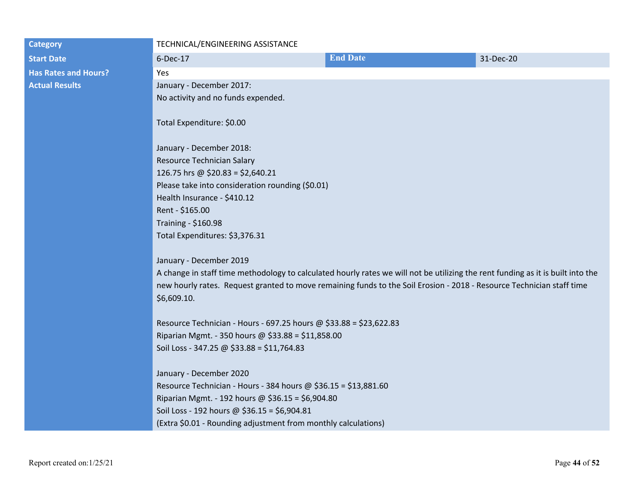| <b>Category</b>             | TECHNICAL/ENGINEERING ASSISTANCE                                                                                                |                 |           |
|-----------------------------|---------------------------------------------------------------------------------------------------------------------------------|-----------------|-----------|
| <b>Start Date</b>           | 6-Dec-17                                                                                                                        | <b>End Date</b> | 31-Dec-20 |
| <b>Has Rates and Hours?</b> | Yes                                                                                                                             |                 |           |
| <b>Actual Results</b>       | January - December 2017:                                                                                                        |                 |           |
|                             | No activity and no funds expended.                                                                                              |                 |           |
|                             |                                                                                                                                 |                 |           |
|                             | Total Expenditure: \$0.00                                                                                                       |                 |           |
|                             |                                                                                                                                 |                 |           |
|                             | January - December 2018:                                                                                                        |                 |           |
|                             | Resource Technician Salary                                                                                                      |                 |           |
|                             | 126.75 hrs @ \$20.83 = \$2,640.21                                                                                               |                 |           |
|                             | Please take into consideration rounding (\$0.01)                                                                                |                 |           |
|                             | Health Insurance - \$410.12                                                                                                     |                 |           |
|                             | Rent - \$165.00                                                                                                                 |                 |           |
|                             | Training - \$160.98                                                                                                             |                 |           |
|                             | Total Expenditures: \$3,376.31                                                                                                  |                 |           |
|                             | January - December 2019                                                                                                         |                 |           |
|                             | A change in staff time methodology to calculated hourly rates we will not be utilizing the rent funding as it is built into the |                 |           |
|                             | new hourly rates. Request granted to move remaining funds to the Soil Erosion - 2018 - Resource Technician staff time           |                 |           |
|                             | \$6,609.10.                                                                                                                     |                 |           |
|                             | Resource Technician - Hours - 697.25 hours @ \$33.88 = \$23,622.83                                                              |                 |           |
|                             | Riparian Mgmt. - 350 hours @ \$33.88 = \$11,858.00                                                                              |                 |           |
|                             | Soil Loss - 347.25 @ \$33.88 = \$11,764.83                                                                                      |                 |           |
|                             |                                                                                                                                 |                 |           |
|                             | January - December 2020                                                                                                         |                 |           |
|                             | Resource Technician - Hours - 384 hours @ \$36.15 = \$13,881.60                                                                 |                 |           |
|                             | Riparian Mgmt. - 192 hours @ \$36.15 = \$6,904.80                                                                               |                 |           |
|                             | Soil Loss - 192 hours @ \$36.15 = \$6,904.81                                                                                    |                 |           |
|                             | (Extra \$0.01 - Rounding adjustment from monthly calculations)                                                                  |                 |           |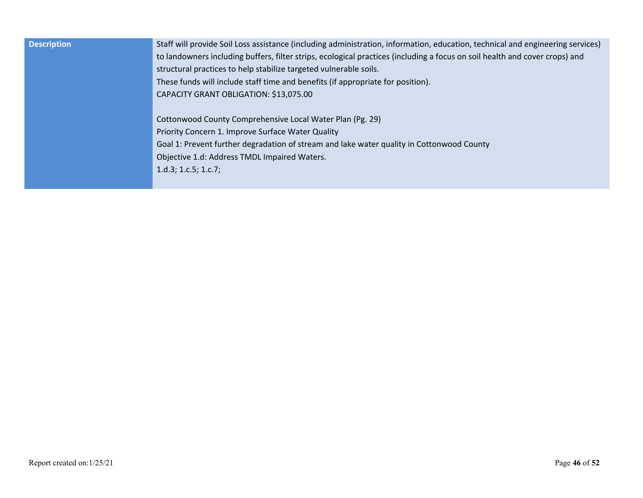| <b>Description</b> | Staff will provide Soil Loss assistance (including administration, information, education, technical and engineering services)<br>to landowners including buffers, filter strips, ecological practices (including a focus on soil health and cover crops) and<br>structural practices to help stabilize targeted vulnerable soils.<br>These funds will include staff time and benefits (if appropriate for position).<br>CAPACITY GRANT OBLIGATION: \$13,075.00 |
|--------------------|-----------------------------------------------------------------------------------------------------------------------------------------------------------------------------------------------------------------------------------------------------------------------------------------------------------------------------------------------------------------------------------------------------------------------------------------------------------------|
|                    | Cottonwood County Comprehensive Local Water Plan (Pg. 29)<br>Priority Concern 1. Improve Surface Water Quality<br>Goal 1: Prevent further degradation of stream and lake water quality in Cottonwood County<br>Objective 1.d: Address TMDL Impaired Waters.<br>$1.d.3$ ; 1.c.5; 1.c.7;                                                                                                                                                                          |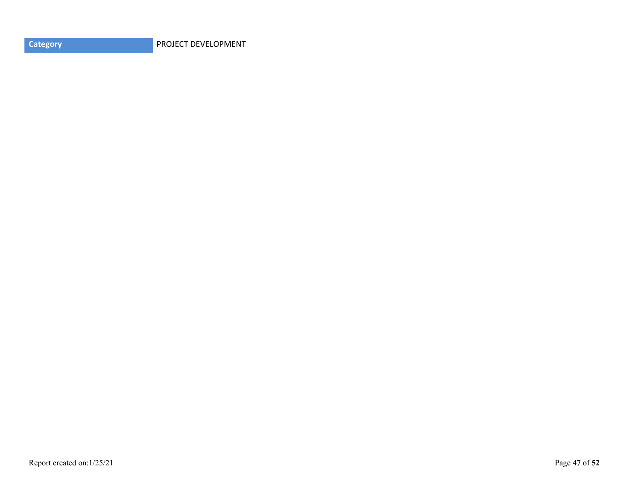**Category PROJECT DEVELOPMENT**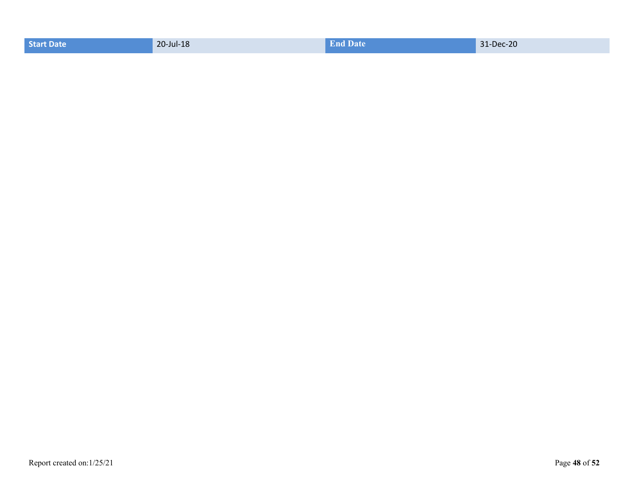| Start Date | 20-Jul-18 | <b>End Date</b> | 31-Dec-20 |
|------------|-----------|-----------------|-----------|
|------------|-----------|-----------------|-----------|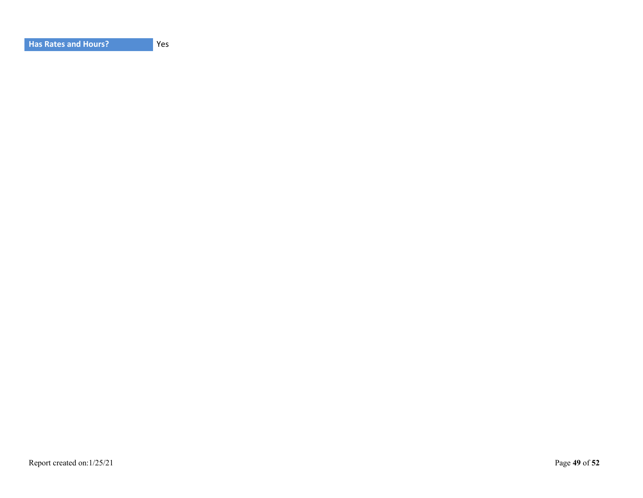| <b>Has Rates and Hours?</b> |
|-----------------------------|
|-----------------------------|

Yes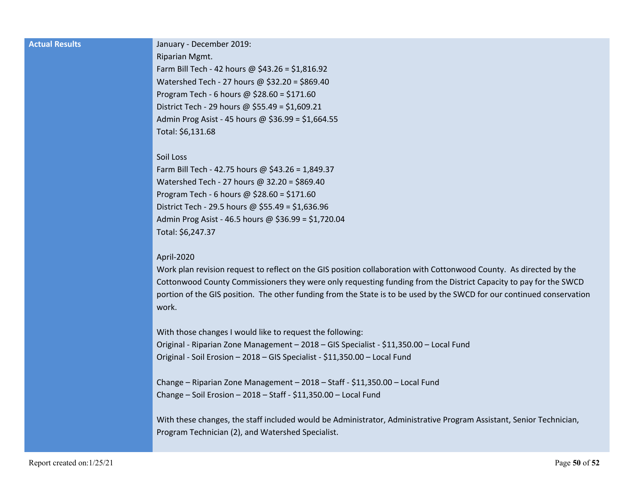| <b>Actual Results</b> | January - December 2019:                                                                                               |
|-----------------------|------------------------------------------------------------------------------------------------------------------------|
|                       | Riparian Mgmt.                                                                                                         |
|                       | Farm Bill Tech - 42 hours @ \$43.26 = \$1,816.92                                                                       |
|                       | Watershed Tech - 27 hours @ \$32.20 = \$869.40                                                                         |
|                       | Program Tech - 6 hours @ $$28.60 = $171.60$                                                                            |
|                       | District Tech - 29 hours @ \$55.49 = \$1,609.21                                                                        |
|                       | Admin Prog Asist - 45 hours @ \$36.99 = \$1,664.55                                                                     |
|                       | Total: \$6,131.68                                                                                                      |
|                       | Soil Loss                                                                                                              |
|                       | Farm Bill Tech - 42.75 hours @ \$43.26 = 1,849.37                                                                      |
|                       | Watershed Tech - 27 hours @ 32.20 = \$869.40                                                                           |
|                       | Program Tech - 6 hours @ $$28.60 = $171.60$                                                                            |
|                       | District Tech - 29.5 hours @ \$55.49 = \$1,636.96                                                                      |
|                       | Admin Prog Asist - 46.5 hours @ \$36.99 = \$1,720.04                                                                   |
|                       | Total: \$6,247.37                                                                                                      |
|                       | April-2020                                                                                                             |
|                       | Work plan revision request to reflect on the GIS position collaboration with Cottonwood County. As directed by the     |
|                       | Cottonwood County Commissioners they were only requesting funding from the District Capacity to pay for the SWCD       |
|                       | portion of the GIS position. The other funding from the State is to be used by the SWCD for our continued conservation |
|                       | work.                                                                                                                  |
|                       | With those changes I would like to request the following:                                                              |
|                       | Original - Riparian Zone Management - 2018 - GIS Specialist - \$11,350.00 - Local Fund                                 |
|                       | Original - Soil Erosion - 2018 - GIS Specialist - \$11,350.00 - Local Fund                                             |
|                       |                                                                                                                        |
|                       | Change - Riparian Zone Management - 2018 - Staff - \$11,350.00 - Local Fund                                            |
|                       | Change - Soil Erosion - 2018 - Staff - \$11,350.00 - Local Fund                                                        |
|                       | With these changes, the staff included would be Administrator, Administrative Program Assistant, Senior Technician,    |
|                       | Program Technician (2), and Watershed Specialist.                                                                      |
|                       |                                                                                                                        |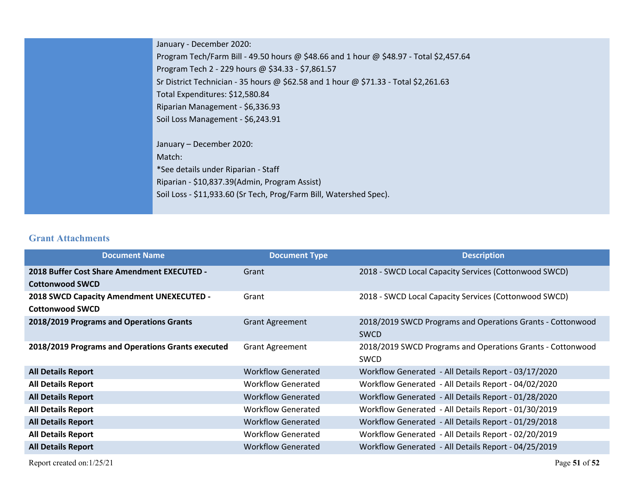| January - December 2020:                                                               |
|----------------------------------------------------------------------------------------|
| Program Tech/Farm Bill - 49.50 hours @ \$48.66 and 1 hour @ \$48.97 - Total \$2,457.64 |
| Program Tech 2 - 229 hours @ \$34.33 - \$7,861.57                                      |
| Sr District Technician - 35 hours @ \$62.58 and 1 hour @ \$71.33 - Total \$2,261.63    |
| Total Expenditures: \$12,580.84                                                        |
| Riparian Management - \$6,336.93                                                       |
| Soil Loss Management - \$6,243.91                                                      |
|                                                                                        |
| January - December 2020:                                                               |
| Match:                                                                                 |
| *See details under Riparian - Staff                                                    |
| Riparian - \$10,837.39(Admin, Program Assist)                                          |
| Soil Loss - \$11,933.60 (Sr Tech, Prog/Farm Bill, Watershed Spec).                     |
|                                                                                        |

### **Grant Attachments**

| <b>Document Name</b>                                                  | <b>Document Type</b>      | <b>Description</b>                                                        |
|-----------------------------------------------------------------------|---------------------------|---------------------------------------------------------------------------|
| 2018 Buffer Cost Share Amendment EXECUTED -<br><b>Cottonwood SWCD</b> | Grant                     | 2018 - SWCD Local Capacity Services (Cottonwood SWCD)                     |
| 2018 SWCD Capacity Amendment UNEXECUTED -<br><b>Cottonwood SWCD</b>   | Grant                     | 2018 - SWCD Local Capacity Services (Cottonwood SWCD)                     |
| 2018/2019 Programs and Operations Grants                              | <b>Grant Agreement</b>    | 2018/2019 SWCD Programs and Operations Grants - Cottonwood<br><b>SWCD</b> |
| 2018/2019 Programs and Operations Grants executed                     | <b>Grant Agreement</b>    | 2018/2019 SWCD Programs and Operations Grants - Cottonwood<br><b>SWCD</b> |
| <b>All Details Report</b>                                             | <b>Workflow Generated</b> | Workflow Generated - All Details Report - 03/17/2020                      |
| <b>All Details Report</b>                                             | Workflow Generated        | Workflow Generated - All Details Report - 04/02/2020                      |
| <b>All Details Report</b>                                             | <b>Workflow Generated</b> | Workflow Generated - All Details Report - 01/28/2020                      |
| <b>All Details Report</b>                                             | Workflow Generated        | Workflow Generated - All Details Report - 01/30/2019                      |
| <b>All Details Report</b>                                             | <b>Workflow Generated</b> | Workflow Generated - All Details Report - 01/29/2018                      |
| <b>All Details Report</b>                                             | <b>Workflow Generated</b> | Workflow Generated - All Details Report - 02/20/2019                      |
| <b>All Details Report</b>                                             | <b>Workflow Generated</b> | Workflow Generated - All Details Report - 04/25/2019                      |

Report created on:1/25/21 Page **51** of **52**